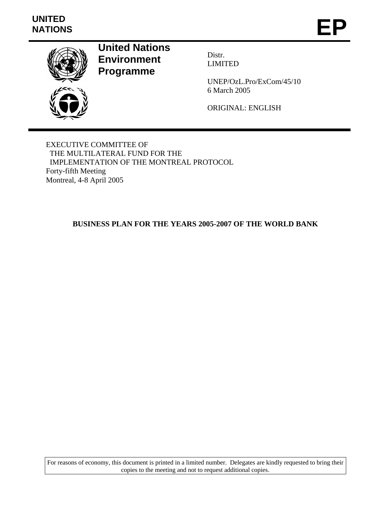# **UNITED**  UNITED<br>NATIONS **EP**



**United Nations Environment Programme** 

Distr. LIMITED

UNEP/OzL.Pro/ExCom/45/10 6 March 2005

ORIGINAL: ENGLISH

EXECUTIVE COMMITTEE OF THE MULTILATERAL FUND FOR THE IMPLEMENTATION OF THE MONTREAL PROTOCOL Forty-fifth Meeting Montreal, 4-8 April 2005

### **BUSINESS PLAN FOR THE YEARS 2005-2007 OF THE WORLD BANK**

For reasons of economy, this document is printed in a limited number. Delegates are kindly requested to bring their copies to the meeting and not to request additional copies.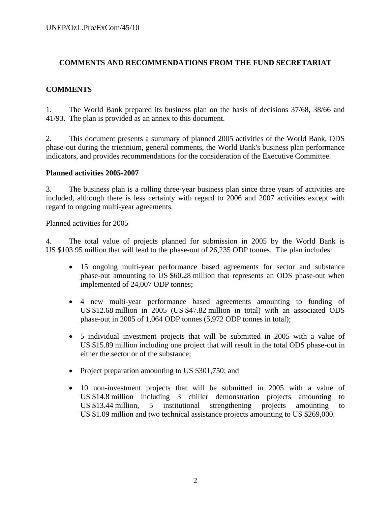#### **COMMENTS AND RECOMMENDATIONS FROM THE FUND SECRETARIAT**

#### **COMMENTS**

1. The World Bank prepared its business plan on the basis of decisions 37/68, 38/66 and 41/93. The plan is provided as an annex to this document.

2. This document presents a summary of planned 2005 activities of the World Bank, ODS phase-out during the triennium, general comments, the World Bank's business plan performance indicators, and provides recommendations for the consideration of the Executive Committee.

#### **Planned activities 2005-2007**

3. The business plan is a rolling three-year business plan since three years of activities are included, although there is less certainty with regard to 2006 and 2007 activities except with regard to ongoing multi-year agreements.

#### Planned activities for 2005

4. The total value of projects planned for submission in 2005 by the World Bank is US \$103.95 million that will lead to the phase-out of 26,235 ODP tonnes. The plan includes:

- 15 ongoing multi-year performance based agreements for sector and substance phase-out amounting to US \$60.28 million that represents an ODS phase-out when implemented of 24,007 ODP tonnes;
- 4 new multi-year performance based agreements amounting to funding of US \$12.68 million in 2005 (US \$47.82 million in total) with an associated ODS phase-out in 2005 of 1,064 ODP tonnes (5,972 ODP tonnes in total);
- 5 individual investment projects that will be submitted in 2005 with a value of US \$15.89 million including one project that will result in the total ODS phase-out in either the sector or of the substance;
- Project preparation amounting to US \$301,750; and
- 10 non-investment projects that will be submitted in 2005 with a value of US \$14.8 million including 3 chiller demonstration projects amounting to US \$13.44 million, 5 institutional strengthening projects amounting to US \$1.09 million and two technical assistance projects amounting to US \$269,000.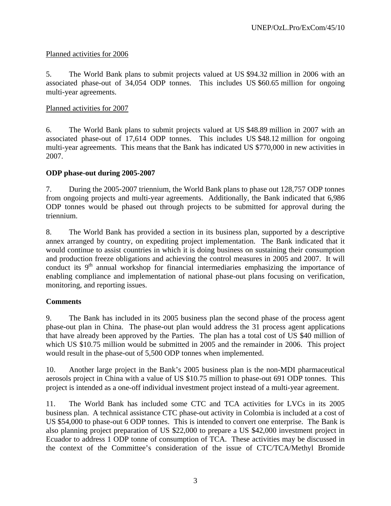### Planned activities for 2006

5. The World Bank plans to submit projects valued at US \$94.32 million in 2006 with an associated phase-out of 34,054 ODP tonnes. This includes US \$60.65 million for ongoing multi-year agreements.

#### Planned activities for 2007

6. The World Bank plans to submit projects valued at US \$48.89 million in 2007 with an associated phase-out of 17,614 ODP tonnes. This includes US \$48.12 million for ongoing multi-year agreements. This means that the Bank has indicated US \$770,000 in new activities in 2007.

### **ODP phase-out during 2005-2007**

7. During the 2005-2007 triennium, the World Bank plans to phase out 128,757 ODP tonnes from ongoing projects and multi-year agreements. Additionally, the Bank indicated that 6,986 ODP tonnes would be phased out through projects to be submitted for approval during the triennium.

8. The World Bank has provided a section in its business plan, supported by a descriptive annex arranged by country, on expediting project implementation. The Bank indicated that it would continue to assist countries in which it is doing business on sustaining their consumption and production freeze obligations and achieving the control measures in 2005 and 2007. It will conduct its  $9<sup>th</sup>$  annual workshop for financial intermediaries emphasizing the importance of enabling compliance and implementation of national phase-out plans focusing on verification, monitoring, and reporting issues.

### **Comments**

9. The Bank has included in its 2005 business plan the second phase of the process agent phase-out plan in China. The phase-out plan would address the 31 process agent applications that have already been approved by the Parties. The plan has a total cost of US \$40 million of which US \$10.75 million would be submitted in 2005 and the remainder in 2006. This project would result in the phase-out of 5,500 ODP tonnes when implemented.

10. Another large project in the Bank's 2005 business plan is the non-MDI pharmaceutical aerosols project in China with a value of US \$10.75 million to phase-out 691 ODP tonnes. This project is intended as a one-off individual investment project instead of a multi-year agreement.

11. The World Bank has included some CTC and TCA activities for LVCs in its 2005 business plan. A technical assistance CTC phase-out activity in Colombia is included at a cost of US \$54,000 to phase-out 6 ODP tonnes. This is intended to convert one enterprise. The Bank is also planning project preparation of US \$22,000 to prepare a US \$42,000 investment project in Ecuador to address 1 ODP tonne of consumption of TCA. These activities may be discussed in the context of the Committee's consideration of the issue of CTC/TCA/Methyl Bromide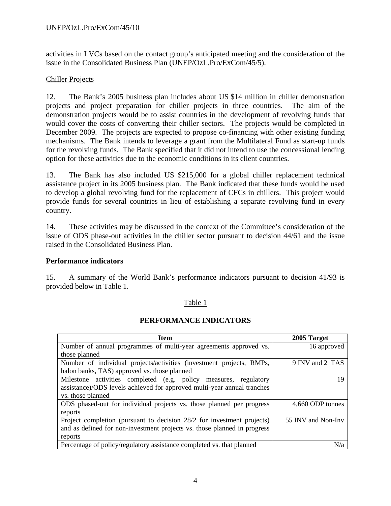activities in LVCs based on the contact group's anticipated meeting and the consideration of the issue in the Consolidated Business Plan (UNEP/OzL.Pro/ExCom/45/5).

#### Chiller Projects

12. The Bank's 2005 business plan includes about US \$14 million in chiller demonstration projects and project preparation for chiller projects in three countries. The aim of the demonstration projects would be to assist countries in the development of revolving funds that would cover the costs of converting their chiller sectors. The projects would be completed in December 2009. The projects are expected to propose co-financing with other existing funding mechanisms. The Bank intends to leverage a grant from the Multilateral Fund as start-up funds for the revolving funds. The Bank specified that it did not intend to use the concessional lending option for these activities due to the economic conditions in its client countries.

13. The Bank has also included US \$215,000 for a global chiller replacement technical assistance project in its 2005 business plan. The Bank indicated that these funds would be used to develop a global revolving fund for the replacement of CFCs in chillers. This project would provide funds for several countries in lieu of establishing a separate revolving fund in every country.

14. These activities may be discussed in the context of the Committee's consideration of the issue of ODS phase-out activities in the chiller sector pursuant to decision 44/61 and the issue raised in the Consolidated Business Plan.

### **Performance indicators**

15. A summary of the World Bank's performance indicators pursuant to decision 41/93 is provided below in Table 1.

#### Table 1

### **PERFORMANCE INDICATORS**

| <b>Item</b>                                                              | 2005 Target        |
|--------------------------------------------------------------------------|--------------------|
| Number of annual programmes of multi-year agreements approved vs.        | 16 approved        |
| those planned                                                            |                    |
| Number of individual projects/activities (investment projects, RMPs,     | 9 INV and 2 TAS    |
| halon banks, TAS) approved vs. those planned                             |                    |
| Milestone activities completed (e.g. policy measures, regulatory         | 19                 |
| assistance)/ODS levels achieved for approved multi-year annual tranches  |                    |
| vs. those planned                                                        |                    |
| ODS phased-out for individual projects vs. those planned per progress    | 4,660 ODP tonnes   |
| reports                                                                  |                    |
| Project completion (pursuant to decision 28/2 for investment projects)   | 55 INV and Non-Inv |
| and as defined for non-investment projects vs. those planned in progress |                    |
| reports                                                                  |                    |
| Percentage of policy/regulatory assistance completed vs. that planned    | N/a                |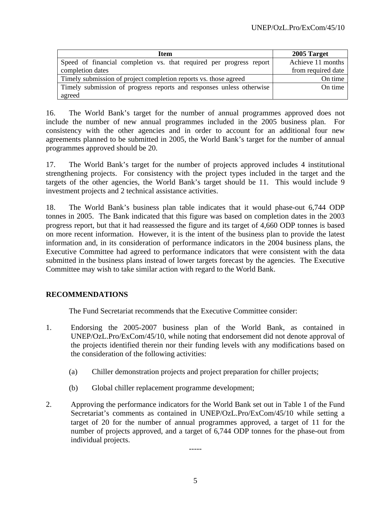| Item                                                                 | 2005 Target        |
|----------------------------------------------------------------------|--------------------|
| Speed of financial completion vs. that required per progress report  | Achieve 11 months  |
| completion dates                                                     | from required date |
| Timely submission of project completion reports vs. those agreed     | On time            |
| Timely submission of progress reports and responses unless otherwise | On time            |
| agreed                                                               |                    |

16. The World Bank's target for the number of annual programmes approved does not include the number of new annual programmes included in the 2005 business plan. For consistency with the other agencies and in order to account for an additional four new agreements planned to be submitted in 2005, the World Bank's target for the number of annual programmes approved should be 20.

17. The World Bank's target for the number of projects approved includes 4 institutional strengthening projects. For consistency with the project types included in the target and the targets of the other agencies, the World Bank's target should be 11. This would include 9 investment projects and 2 technical assistance activities.

18. The World Bank's business plan table indicates that it would phase-out 6,744 ODP tonnes in 2005. The Bank indicated that this figure was based on completion dates in the 2003 progress report, but that it had reassessed the figure and its target of 4,660 ODP tonnes is based on more recent information. However, it is the intent of the business plan to provide the latest information and, in its consideration of performance indicators in the 2004 business plans, the Executive Committee had agreed to performance indicators that were consistent with the data submitted in the business plans instead of lower targets forecast by the agencies. The Executive Committee may wish to take similar action with regard to the World Bank.

### **RECOMMENDATIONS**

The Fund Secretariat recommends that the Executive Committee consider:

- 1. Endorsing the 2005-2007 business plan of the World Bank, as contained in UNEP/OzL.Pro/ExCom/45/10, while noting that endorsement did not denote approval of the projects identified therein nor their funding levels with any modifications based on the consideration of the following activities:
	- (a) Chiller demonstration projects and project preparation for chiller projects;
	- (b) Global chiller replacement programme development;
- 2. Approving the performance indicators for the World Bank set out in Table 1 of the Fund Secretariat's comments as contained in UNEP/OzL.Pro/ExCom/45/10 while setting a target of 20 for the number of annual programmes approved, a target of 11 for the number of projects approved, and a target of 6,744 ODP tonnes for the phase-out from individual projects.

-----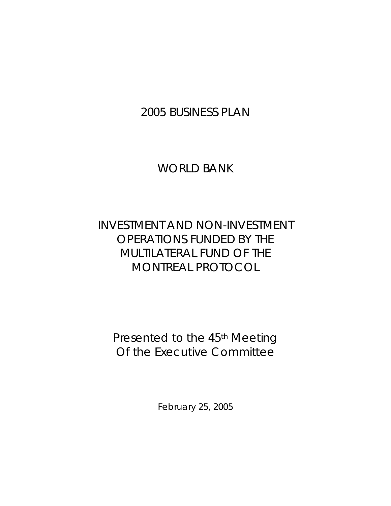2005 BUSINESS PLAN

WORLD BANK

# INVESTMENT AND NON-INVESTMENT OPERATIONS FUNDED BY THE MULTILATERAL FUND OF THE MONTREAL PROTOCOL

Presented to the 45<sup>th</sup> Meeting Of the Executive Committee

February 25, 2005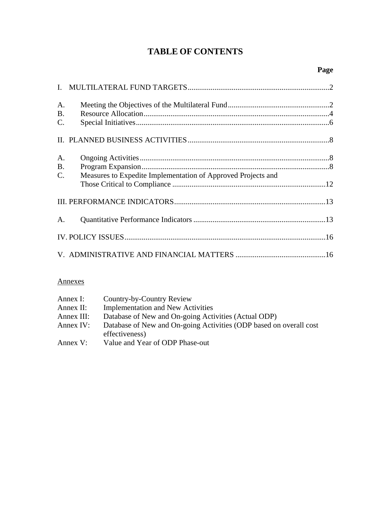## **TABLE OF CONTENTS**

| A.<br><b>B.</b><br>$\mathbf{C}$ .          |                                                              |  |
|--------------------------------------------|--------------------------------------------------------------|--|
|                                            |                                                              |  |
| $A_{\cdot}$<br><b>B.</b><br>$\mathbf{C}$ . | Measures to Expedite Implementation of Approved Projects and |  |
|                                            |                                                              |  |
| $A_{\cdot}$                                |                                                              |  |
|                                            |                                                              |  |
|                                            |                                                              |  |

### Annexes

| Annex I:     | Country-by-Country Review                                          |
|--------------|--------------------------------------------------------------------|
| Annex $II$ : | <b>Implementation and New Activities</b>                           |
| Annex III:   | Database of New and On-going Activities (Actual ODP)               |
| Annex IV:    | Database of New and On-going Activities (ODP based on overall cost |
|              | effectiveness)                                                     |
| Annex V:     | Value and Year of ODP Phase-out                                    |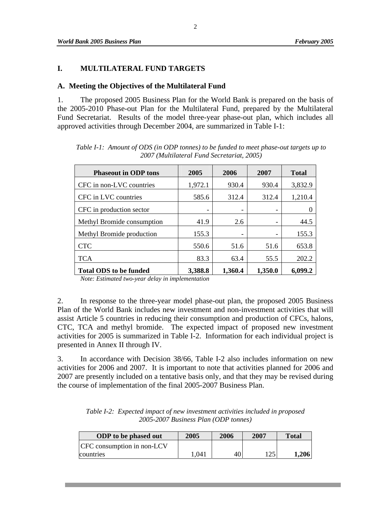#### **I. MULTILATERAL FUND TARGETS**

#### **A. Meeting the Objectives of the Multilateral Fund**

1. The proposed 2005 Business Plan for the World Bank is prepared on the basis of the 2005-2010 Phase-out Plan for the Multilateral Fund, prepared by the Multilateral Fund Secretariat. Results of the model three-year phase-out plan, which includes all approved activities through December 2004, are summarized in Table I-1:

| <b>Phaseout in ODP tons</b>   | 2005    | 2006    | 2007                     | <b>Total</b> |
|-------------------------------|---------|---------|--------------------------|--------------|
| CFC in non-LVC countries      | 1,972.1 | 930.4   | 930.4                    | 3,832.9      |
| CFC in LVC countries          | 585.6   | 312.4   | 312.4                    | 1,210.4      |
| CFC in production sector      |         |         | -                        |              |
| Methyl Bromide consumption    | 41.9    | 2.6     | $\overline{\phantom{a}}$ | 44.5         |
| Methyl Bromide production     | 155.3   |         | $\overline{\phantom{a}}$ | 155.3        |
| <b>CTC</b>                    | 550.6   | 51.6    | 51.6                     | 653.8        |
| <b>TCA</b>                    | 83.3    | 63.4    | 55.5                     | 202.2        |
| <b>Total ODS to be funded</b> | 3,388.8 | 1,360.4 | 1,350.0                  | 6,099.2      |

*Table I-1: Amount of ODS (in ODP tonnes) to be funded to meet phase-out targets up to 2007 (Multilateral Fund Secretariat, 2005)* 

*Note: Estimated two-year delay in implementation* 

2. In response to the three-year model phase-out plan, the proposed 2005 Business Plan of the World Bank includes new investment and non-investment activities that will assist Article 5 countries in reducing their consumption and production of CFCs, halons, CTC, TCA and methyl bromide. The expected impact of proposed new investment activities for 2005 is summarized in Table I-2. Information for each individual project is presented in Annex II through IV.

3. In accordance with Decision 38/66, Table I-2 also includes information on new activities for 2006 and 2007. It is important to note that activities planned for 2006 and 2007 are presently included on a tentative basis only, and that they may be revised during the course of implementation of the final 2005-2007 Business Plan.

| Table I-2: Expected impact of new investment activities included in proposed |
|------------------------------------------------------------------------------|
| 2005-2007 Business Plan (ODP tonnes)                                         |

| <b>ODP</b> to be phased out | 2005 | 2006 | 2007 | Total |
|-----------------------------|------|------|------|-------|
| CFC consumption in non-LCV  |      |      |      |       |
| countries                   | .041 | 40   |      | 1,206 |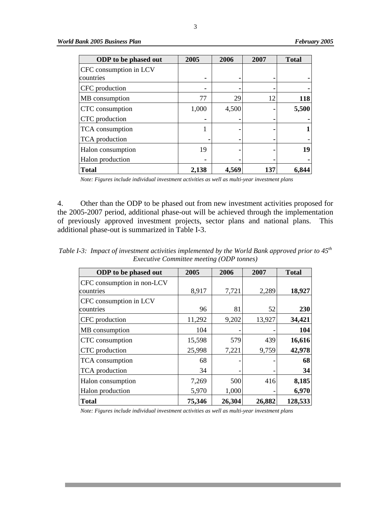| <b>ODP</b> to be phased out | 2005  | 2006  | 2007 | <b>Total</b> |
|-----------------------------|-------|-------|------|--------------|
| CFC consumption in LCV      |       |       |      |              |
| countries                   |       |       |      |              |
| CFC production              |       |       |      |              |
| MB consumption              | 77    | 29    | 12   | 118          |
| CTC consumption             | 1,000 | 4,500 |      | 5,500        |
| CTC production              |       |       |      |              |
| TCA consumption             |       |       |      |              |
| TCA production              |       |       |      |              |
| Halon consumption           | 19    |       |      | 19           |
| Halon production            |       |       |      |              |
| <b>Total</b>                | 2,138 | 4,569 | 137  | 6,844        |

*Note: Figures include individual investment activities as well as multi-year investment plans* 

4. Other than the ODP to be phased out from new investment activities proposed for the 2005-2007 period, additional phase-out will be achieved through the implementation of previously approved investment projects, sector plans and national plans. This additional phase-out is summarized in Table I-3.

*Table I-3: Impact of investment activities implemented by the World Bank approved prior to 45th Executive Committee meeting (ODP tonnes)* 

| <b>ODP</b> to be phased out | 2005   | 2006   | 2007   | <b>Total</b> |
|-----------------------------|--------|--------|--------|--------------|
| CFC consumption in non-LCV  |        |        |        |              |
| countries                   | 8,917  | 7,721  | 2,289  | 18,927       |
| CFC consumption in LCV      |        |        |        |              |
| countries                   | 96     | 81     | 52     | 230          |
| CFC production              | 11,292 | 9,202  | 13,927 | 34,421       |
| MB consumption              | 104    |        |        | 104          |
| CTC consumption             | 15,598 | 579    | 439    | 16,616       |
| CTC production              | 25,998 | 7,221  | 9,759  | 42,978       |
| TCA consumption             | 68     |        |        | 68           |
| TCA production              | 34     |        |        | 34           |
| Halon consumption           | 7,269  | 500    | 416    | 8,185        |
| Halon production            | 5,970  | 1,000  |        | 6,970        |
| <b>Total</b>                | 75,346 | 26,304 | 26,882 | 128,533      |

*Note: Figures include individual investment activities as well as multi-year investment plans*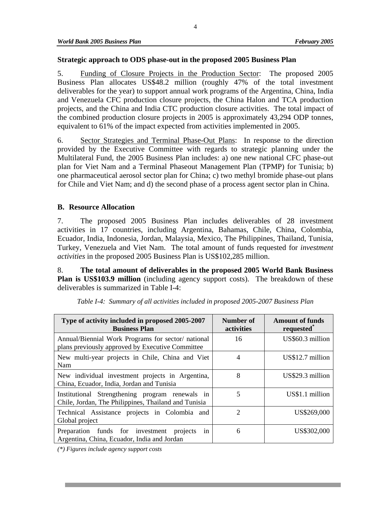#### **Strategic approach to ODS phase-out in the proposed 2005 Business Plan**

5. Funding of Closure Projects in the Production Sector: The proposed 2005 Business Plan allocates US\$48.2 million (roughly 47% of the total investment deliverables for the year) to support annual work programs of the Argentina, China, India and Venezuela CFC production closure projects, the China Halon and TCA production projects, and the China and India CTC production closure activities. The total impact of the combined production closure projects in 2005 is approximately 43,294 ODP tonnes, equivalent to 61% of the impact expected from activities implemented in 2005.

6. Sector Strategies and Terminal Phase-Out Plans:In response to the direction provided by the Executive Committee with regards to strategic planning under the Multilateral Fund, the 2005 Business Plan includes: a) one new national CFC phase-out plan for Viet Nam and a Terminal Phaseout Management Plan (TPMP) for Tunisia; b) one pharmaceutical aerosol sector plan for China; c) two methyl bromide phase-out plans for Chile and Viet Nam; and d) the second phase of a process agent sector plan in China.

#### **B. Resource Allocation**

7. The proposed 2005 Business Plan includes deliverables of 28 investment activities in 17 countries, including Argentina, Bahamas, Chile, China, Colombia, Ecuador, India, Indonesia, Jordan, Malaysia, Mexico, The Philippines, Thailand, Tunisia, Turkey, Venezuela and Viet Nam. The total amount of funds requested for *investment activities* in the proposed 2005 Business Plan is US\$102,285 million.

8. **The total amount of deliverables in the proposed 2005 World Bank Business Plan is US\$103.9 million** (including agency support costs). The breakdown of these deliverables is summarized in Table I-4:

| Type of activity included in proposed 2005-2007<br><b>Business Plan</b>                                 | Number of<br>activities | <b>Amount of funds</b><br>requested* |
|---------------------------------------------------------------------------------------------------------|-------------------------|--------------------------------------|
| Annual/Biennial Work Programs for sector/ national<br>plans previously approved by Executive Committee  | 16                      | US\$60.3 million                     |
| New multi-year projects in Chile, China and Viet<br>Nam                                                 | 4                       | US\$12.7 million                     |
| New individual investment projects in Argentina,<br>China, Ecuador, India, Jordan and Tunisia           | 8                       | US\$29.3 million                     |
| Institutional Strengthening program renewals in<br>Chile, Jordan, The Philippines, Thailand and Tunisia | 5                       | US\$1.1 million                      |
| Technical Assistance projects in Colombia and<br>Global project                                         | $\mathcal{D}$           | US\$269,000                          |
| Preparation funds for investment<br>projects<br>1n<br>Argentina, China, Ecuador, India and Jordan       | 6                       | US\$302,000                          |

*Table I-4: Summary of all activities included in proposed 2005-2007 Business Plan* 

*(\*) Figures include agency support costs*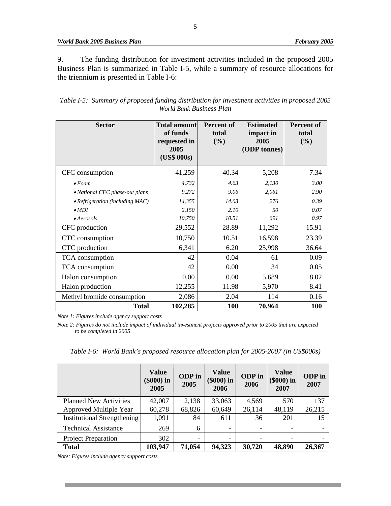9. The funding distribution for investment activities included in the proposed 2005 Business Plan is summarized in Table I-5, while a summary of resource allocations for the triennium is presented in Table I-6:

*Table I-5: Summary of proposed funding distribution for investment activities in proposed 2005 World Bank Business Plan*

| <b>Sector</b>                           | <b>Total amount</b><br>of funds<br>requested in<br>2005<br>(US\$ 000s) | <b>Percent of</b><br>total<br>(%) | <b>Estimated</b><br>impact in<br>2005<br>(ODP tonnes) | <b>Percent of</b><br>total<br>(%) |
|-----------------------------------------|------------------------------------------------------------------------|-----------------------------------|-------------------------------------------------------|-----------------------------------|
| CFC consumption                         | 41,259                                                                 | 40.34                             | 5,208                                                 | 7.34                              |
| $\bullet$ Foam                          | 4,732                                                                  | 4.63                              | 2,130                                                 | 3.00                              |
| • National CFC phase-out plans          | 9,272                                                                  | 9.06                              | 2,061                                                 | 2.90                              |
| $\bullet$ Refrigeration (including MAC) | 14,355                                                                 | 14.03                             | 276                                                   | 0.39                              |
| $\bullet$ MDI                           | 2,150                                                                  | 2.10                              | 50                                                    | 0.07                              |
| $\bullet$ Aerosols                      | 10,750                                                                 | 10.51                             | 691                                                   | 0.97                              |
| CFC production                          | 29,552                                                                 | 28.89                             | 11,292                                                | 15.91                             |
| CTC consumption                         | 10,750                                                                 | 10.51                             | 16,598                                                | 23.39                             |
| CTC production                          | 6,341                                                                  | 6.20                              | 25,998                                                | 36.64                             |
| TCA consumption                         | 42                                                                     | 0.04                              | 61                                                    | 0.09                              |
| TCA consumption                         | 42                                                                     | 0.00                              | 34                                                    | 0.05                              |
| Halon consumption                       | 0.00                                                                   | 0.00                              | 5,689                                                 | 8.02                              |
| Halon production                        | 12,255                                                                 | 11.98                             | 5,970                                                 | 8.41                              |
| Methyl bromide consumption              | 2,086                                                                  | 2.04                              | 114                                                   | 0.16                              |
| <b>Total</b>                            | 102,285                                                                | 100                               | 70,964                                                | 100                               |

*Note 1: Figures include agency support costs* 

*Note 2: Figures do not include impact of individual investment projects approved prior to 2005 that are expected to be completed in 2005* 

*Table I-6: World Bank's proposed resource allocation plan for 2005-2007 (in US\$000s)* 

|                                    | <b>Value</b><br>$(\$000)$ in<br>2005 | ODP in<br>2005 | <b>Value</b><br>$(\$000)$ in<br>2006 | ODP in<br>2006 | <b>Value</b><br>$(\$000)$ in<br>2007 | <b>ODP</b> in<br>2007 |
|------------------------------------|--------------------------------------|----------------|--------------------------------------|----------------|--------------------------------------|-----------------------|
| <b>Planned New Activities</b>      | 42,007                               | 2,138          | 33,063                               | 4,569          | 570                                  | 137                   |
| <b>Approved Multiple Year</b>      | 60,278                               | 68,826         | 60,649                               | 26,114         | 48,119                               | 26,215                |
| <b>Institutional Strengthening</b> | 1,091                                | 84             | 611                                  | 36             | 201                                  | 15                    |
| <b>Technical Assistance</b>        | 269                                  | 6              |                                      | ۰              | $\blacksquare$                       |                       |
| <b>Project Preparation</b>         | 302                                  |                |                                      |                | ۰                                    |                       |
| <b>Total</b>                       | 103,947                              | 71,054         | 94,323                               | 30,720         | 48,890                               | 26,367                |

*Note: Figures include agency support costs*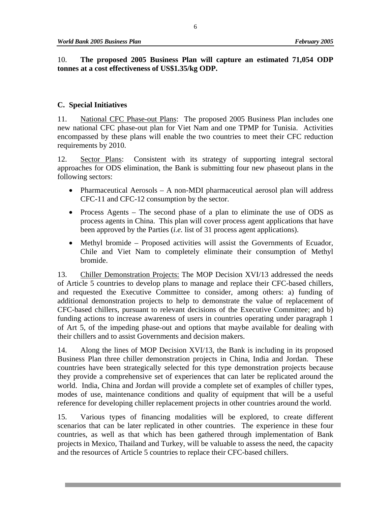10. **The proposed 2005 Business Plan will capture an estimated 71,054 ODP tonnes at a cost effectiveness of US\$1.35/kg ODP.** 

#### **C. Special Initiatives**

11. National CFC Phase-out Plans:The proposed 2005 Business Plan includes one new national CFC phase-out plan for Viet Nam and one TPMP for Tunisia. Activities encompassed by these plans will enable the two countries to meet their CFC reduction requirements by 2010.

12. Sector Plans:Consistent with its strategy of supporting integral sectoral approaches for ODS elimination, the Bank is submitting four new phaseout plans in the following sectors:

- Pharmaceutical Aerosols A non-MDI pharmaceutical aerosol plan will address CFC-11 and CFC-12 consumption by the sector.
- Process Agents The second phase of a plan to eliminate the use of ODS as process agents in China. This plan will cover process agent applications that have been approved by the Parties (*i.e.* list of 31 process agent applications).
- Methyl bromide Proposed activities will assist the Governments of Ecuador, Chile and Viet Nam to completely eliminate their consumption of Methyl bromide.

13. Chiller Demonstration Projects: The MOP Decision XVI/13 addressed the needs of Article 5 countries to develop plans to manage and replace their CFC-based chillers, and requested the Executive Committee to consider, among others: a) funding of additional demonstration projects to help to demonstrate the value of replacement of CFC-based chillers, pursuant to relevant decisions of the Executive Committee; and b) funding actions to increase awareness of users in countries operating under paragraph 1 of Art 5, of the impeding phase-out and options that maybe available for dealing with their chillers and to assist Governments and decision makers.

14. Along the lines of MOP Decision XVI/13, the Bank is including in its proposed Business Plan three chiller demonstration projects in China, India and Jordan. These countries have been strategically selected for this type demonstration projects because they provide a comprehensive set of experiences that can later be replicated around the world. India, China and Jordan will provide a complete set of examples of chiller types, modes of use, maintenance conditions and quality of equipment that will be a useful reference for developing chiller replacement projects in other countries around the world.

15. Various types of financing modalities will be explored, to create different scenarios that can be later replicated in other countries. The experience in these four countries, as well as that which has been gathered through implementation of Bank projects in Mexico, Thailand and Turkey, will be valuable to assess the need, the capacity and the resources of Article 5 countries to replace their CFC-based chillers.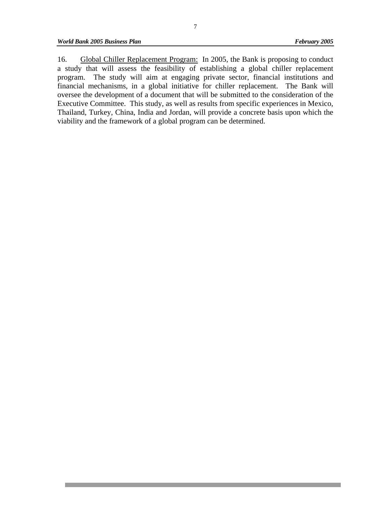16. Global Chiller Replacement Program: In 2005, the Bank is proposing to conduct a study that will assess the feasibility of establishing a global chiller replacement program. The study will aim at engaging private sector, financial institutions and financial mechanisms, in a global initiative for chiller replacement. The Bank will oversee the development of a document that will be submitted to the consideration of the Executive Committee. This study, as well as results from specific experiences in Mexico, Thailand, Turkey, China, India and Jordan, will provide a concrete basis upon which the viability and the framework of a global program can be determined.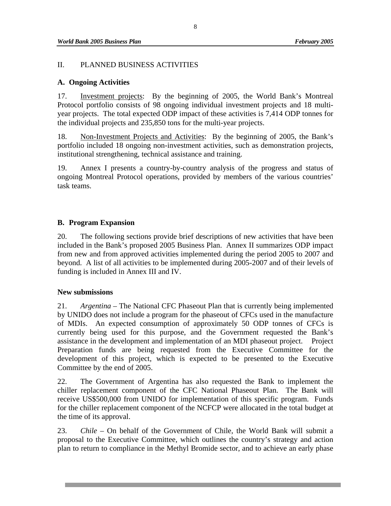#### II. PLANNED BUSINESS ACTIVITIES

#### **A. Ongoing Activities**

17. Investment projects:By the beginning of 2005, the World Bank's Montreal Protocol portfolio consists of 98 ongoing individual investment projects and 18 multiyear projects. The total expected ODP impact of these activities is 7,414 ODP tonnes for the individual projects and 235,850 tons for the multi-year projects.

18. Non-Investment Projects and Activities:By the beginning of 2005, the Bank's portfolio included 18 ongoing non-investment activities, such as demonstration projects, institutional strengthening, technical assistance and training.

19. Annex I presents a country-by-country analysis of the progress and status of ongoing Montreal Protocol operations, provided by members of the various countries' task teams.

#### **B. Program Expansion**

20. The following sections provide brief descriptions of new activities that have been included in the Bank's proposed 2005 Business Plan. Annex II summarizes ODP impact from new and from approved activities implemented during the period 2005 to 2007 and beyond. A list of all activities to be implemented during 2005-2007 and of their levels of funding is included in Annex III and IV.

#### **New submissions**

21. *Argentina –* The National CFC Phaseout Plan that is currently being implemented by UNIDO does not include a program for the phaseout of CFCs used in the manufacture of MDIs. An expected consumption of approximately 50 ODP tonnes of CFCs is currently being used for this purpose, and the Government requested the Bank's assistance in the development and implementation of an MDI phaseout project. Project Preparation funds are being requested from the Executive Committee for the development of this project, which is expected to be presented to the Executive Committee by the end of 2005.

22. The Government of Argentina has also requested the Bank to implement the chiller replacement component of the CFC National Phaseout Plan. The Bank will receive US\$500,000 from UNIDO for implementation of this specific program. Funds for the chiller replacement component of the NCFCP were allocated in the total budget at the time of its approval.

23. *Chile –* On behalf of the Government of Chile, the World Bank will submit a proposal to the Executive Committee, which outlines the country's strategy and action plan to return to compliance in the Methyl Bromide sector, and to achieve an early phase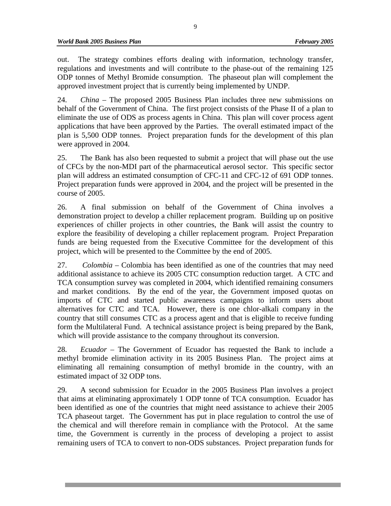out. The strategy combines efforts dealing with information, technology transfer, regulations and investments and will contribute to the phase-out of the remaining 125 ODP tonnes of Methyl Bromide consumption. The phaseout plan will complement the approved investment project that is currently being implemented by UNDP.

24. *China –* The proposed 2005 Business Plan includes three new submissions on behalf of the Government of China. The first project consists of the Phase II of a plan to eliminate the use of ODS as process agents in China. This plan will cover process agent applications that have been approved by the Parties. The overall estimated impact of the plan is 5,500 ODP tonnes. Project preparation funds for the development of this plan were approved in 2004.

25. The Bank has also been requested to submit a project that will phase out the use of CFCs by the non-MDI part of the pharmaceutical aerosol sector. This specific sector plan will address an estimated consumption of CFC-11 and CFC-12 of 691 ODP tonnes. Project preparation funds were approved in 2004, and the project will be presented in the course of 2005.

26. A final submission on behalf of the Government of China involves a demonstration project to develop a chiller replacement program. Building up on positive experiences of chiller projects in other countries, the Bank will assist the country to explore the feasibility of developing a chiller replacement program. Project Preparation funds are being requested from the Executive Committee for the development of this project, which will be presented to the Committee by the end of 2005.

27. *Colombia –* Colombia has been identified as one of the countries that may need additional assistance to achieve its 2005 CTC consumption reduction target. A CTC and TCA consumption survey was completed in 2004, which identified remaining consumers and market conditions. By the end of the year, the Government imposed quotas on imports of CTC and started public awareness campaigns to inform users about alternatives for CTC and TCA. However, there is one chlor-alkali company in the country that still consumes CTC as a process agent and that is eligible to receive funding form the Multilateral Fund. A technical assistance project is being prepared by the Bank, which will provide assistance to the company throughout its conversion.

28. *Ecuador –* The Government of Ecuador has requested the Bank to include a methyl bromide elimination activity in its 2005 Business Plan. The project aims at eliminating all remaining consumption of methyl bromide in the country, with an estimated impact of 32 ODP tons.

29. A second submission for Ecuador in the 2005 Business Plan involves a project that aims at eliminating approximately 1 ODP tonne of TCA consumption. Ecuador has been identified as one of the countries that might need assistance to achieve their 2005 TCA phaseout target. The Government has put in place regulation to control the use of the chemical and will therefore remain in compliance with the Protocol. At the same time, the Government is currently in the process of developing a project to assist remaining users of TCA to convert to non-ODS substances. Project preparation funds for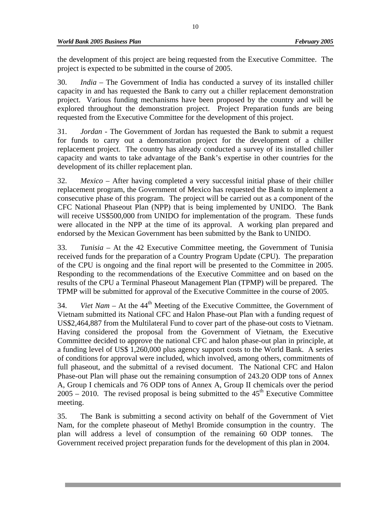the development of this project are being requested from the Executive Committee. The project is expected to be submitted in the course of 2005.

30. *India –* The Government of India has conducted a survey of its installed chiller capacity in and has requested the Bank to carry out a chiller replacement demonstration project. Various funding mechanisms have been proposed by the country and will be explored throughout the demonstration project. Project Preparation funds are being requested from the Executive Committee for the development of this project.

31. *Jordan -* The Government of Jordan has requested the Bank to submit a request for funds to carry out a demonstration project for the development of a chiller replacement project. The country has already conducted a survey of its installed chiller capacity and wants to take advantage of the Bank's expertise in other countries for the development of its chiller replacement plan.

32. *Mexico –* After having completed a very successful initial phase of their chiller replacement program, the Government of Mexico has requested the Bank to implement a consecutive phase of this program. The project will be carried out as a component of the CFC National Phaseout Plan (NPP) that is being implemented by UNIDO. The Bank will receive US\$500,000 from UNIDO for implementation of the program. These funds were allocated in the NPP at the time of its approval. A working plan prepared and endorsed by the Mexican Government has been submitted by the Bank to UNIDO.

33. *Tunisia –* At the 42 Executive Committee meeting, the Government of Tunisia received funds for the preparation of a Country Program Update (CPU). The preparation of the CPU is ongoing and the final report will be presented to the Committee in 2005. Responding to the recommendations of the Executive Committee and on based on the results of the CPU a Terminal Phaseout Management Plan (TPMP) will be prepared. The TPMP will be submitted for approval of the Executive Committee in the course of 2005.

34. *Viet Nam – At the 44<sup>th</sup>* Meeting of the Executive Committee, the Government of Vietnam submitted its National CFC and Halon Phase-out Plan with a funding request of US\$2,464,887 from the Multilateral Fund to cover part of the phase-out costs to Vietnam. Having considered the proposal from the Government of Vietnam, the Executive Committee decided to approve the national CFC and halon phase-out plan in principle, at a funding level of US\$ 1,260,000 plus agency support costs to the World Bank. A series of conditions for approval were included, which involved, among others, commitments of full phaseout, and the submittal of a revised document. The National CFC and Halon Phase-out Plan will phase out the remaining consumption of 243.20 ODP tons of Annex A, Group I chemicals and 76 ODP tons of Annex A, Group II chemicals over the period  $2005 - 2010$ . The revised proposal is being submitted to the 45<sup>th</sup> Executive Committee meeting.

35. The Bank is submitting a second activity on behalf of the Government of Viet Nam, for the complete phaseout of Methyl Bromide consumption in the country. The plan will address a level of consumption of the remaining 60 ODP tonnes. The Government received project preparation funds for the development of this plan in 2004.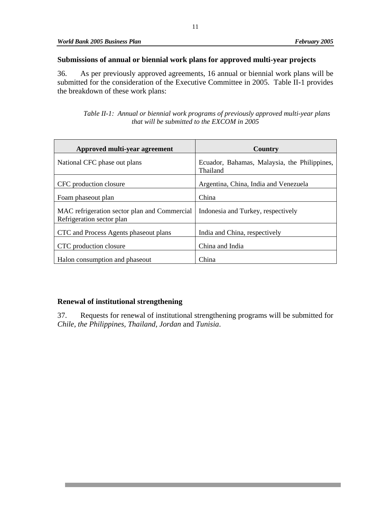#### **Submissions of annual or biennial work plans for approved multi-year projects**

36. As per previously approved agreements, 16 annual or biennial work plans will be submitted for the consideration of the Executive Committee in 2005. Table II-1 provides the breakdown of these work plans:

*Table II-1: Annual or biennial work programs of previously approved multi-year plans that will be submitted to the EXCOM in 2005* 

| Approved multi-year agreement                                             | Country                                                  |
|---------------------------------------------------------------------------|----------------------------------------------------------|
| National CFC phase out plans                                              | Ecuador, Bahamas, Malaysia, the Philippines,<br>Thailand |
| CFC production closure                                                    | Argentina, China, India and Venezuela                    |
| Foam phaseout plan                                                        | China                                                    |
| MAC refrigeration sector plan and Commercial<br>Refrigeration sector plan | Indonesia and Turkey, respectively                       |
| CTC and Process Agents phaseout plans                                     | India and China, respectively                            |
| CTC production closure                                                    | China and India                                          |
| Halon consumption and phaseout                                            | China                                                    |

#### **Renewal of institutional strengthening**

37. Requests for renewal of institutional strengthening programs will be submitted for *Chile, the Philippines, Thailand, Jordan* and *Tunisia*.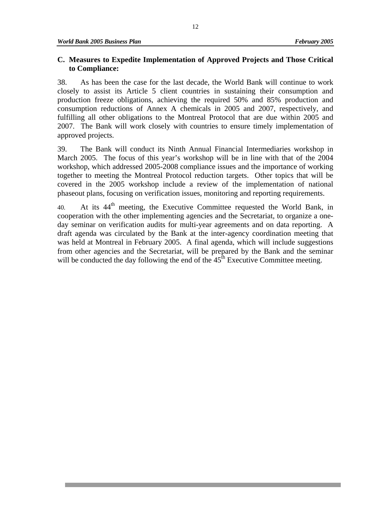#### **C. Measures to Expedite Implementation of Approved Projects and Those Critical to Compliance:**

38. As has been the case for the last decade, the World Bank will continue to work closely to assist its Article 5 client countries in sustaining their consumption and production freeze obligations, achieving the required 50% and 85% production and consumption reductions of Annex A chemicals in 2005 and 2007, respectively, and fulfilling all other obligations to the Montreal Protocol that are due within 2005 and 2007. The Bank will work closely with countries to ensure timely implementation of approved projects.

39. The Bank will conduct its Ninth Annual Financial Intermediaries workshop in March 2005. The focus of this year's workshop will be in line with that of the 2004 workshop, which addressed 2005-2008 compliance issues and the importance of working together to meeting the Montreal Protocol reduction targets. Other topics that will be covered in the 2005 workshop include a review of the implementation of national phaseout plans, focusing on verification issues, monitoring and reporting requirements.

40. At its  $44<sup>th</sup>$  meeting, the Executive Committee requested the World Bank, in cooperation with the other implementing agencies and the Secretariat, to organize a oneday seminar on verification audits for multi-year agreements and on data reporting. A draft agenda was circulated by the Bank at the inter-agency coordination meeting that was held at Montreal in February 2005. A final agenda, which will include suggestions from other agencies and the Secretariat, will be prepared by the Bank and the seminar will be conducted the day following the end of the  $45<sup>th</sup>$  Executive Committee meeting.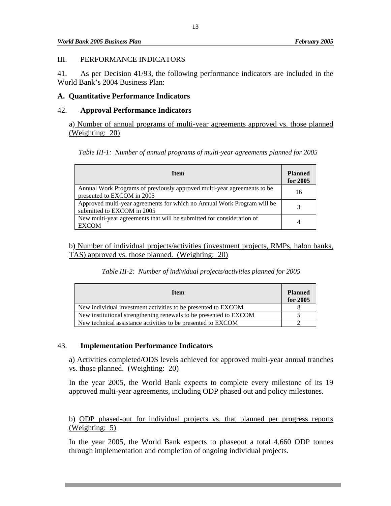#### III. PERFORMANCE INDICATORS

41. As per Decision 41/93, the following performance indicators are included in the World Bank's 2004 Business Plan:

#### **A. Quantitative Performance Indicators**

#### 42. **Approval Performance Indicators**

a) Number of annual programs of multi-year agreements approved vs. those planned (Weighting: 20)

|  |  |  |  |  |  | Table III-1: Number of annual programs of multi-year agreements planned for 2005 |
|--|--|--|--|--|--|----------------------------------------------------------------------------------|
|--|--|--|--|--|--|----------------------------------------------------------------------------------|

| <b>Item</b>                                                                                           | <b>Planned</b><br>for 2005 |
|-------------------------------------------------------------------------------------------------------|----------------------------|
| Annual Work Programs of previously approved multi-year agreements to be<br>presented to EXCOM in 2005 | 16                         |
| Approved multi-year agreements for which no Annual Work Program will be<br>submitted to EXCOM in 2005 |                            |
| New multi-year agreements that will be submitted for consideration of<br><b>EXCOM</b>                 |                            |

b) Number of individual projects/activities (investment projects, RMPs, halon banks, TAS) approved vs. those planned. (Weighting: 20)

|  |  | Table III-2: Number of individual projects/activities planned for 2005 |  |
|--|--|------------------------------------------------------------------------|--|
|--|--|------------------------------------------------------------------------|--|

| <b>Item</b>                                                       | <b>Planned</b><br>for 2005 |
|-------------------------------------------------------------------|----------------------------|
| New individual investment activities to be presented to EXCOM     |                            |
| New institutional strengthening renewals to be presented to EXCOM |                            |
| New technical assistance activities to be presented to EXCOM      |                            |

#### 43. **Implementation Performance Indicators**

a) Activities completed/ODS levels achieved for approved multi-year annual tranches vs. those planned. (Weighting: 20)

In the year 2005, the World Bank expects to complete every milestone of its 19 approved multi-year agreements, including ODP phased out and policy milestones.

b) ODP phased-out for individual projects vs. that planned per progress reports (Weighting: 5)

In the year 2005, the World Bank expects to phaseout a total 4,660 ODP tonnes through implementation and completion of ongoing individual projects.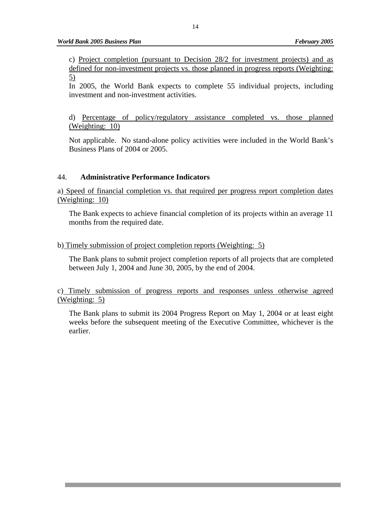c) Project completion (pursuant to Decision 28/2 for investment projects) and as defined for non-investment projects vs. those planned in progress reports (Weighting: 5)

In 2005, the World Bank expects to complete 55 individual projects, including investment and non-investment activities.

d) Percentage of policy/regulatory assistance completed vs. those planned (Weighting: 10)

Not applicable. No stand-alone policy activities were included in the World Bank's Business Plans of 2004 or 2005.

#### 44. **Administrative Performance Indicators**

a) Speed of financial completion vs. that required per progress report completion dates (Weighting: 10)

The Bank expects to achieve financial completion of its projects within an average 11 months from the required date.

#### b) Timely submission of project completion reports (Weighting: 5)

The Bank plans to submit project completion reports of all projects that are completed between July 1, 2004 and June 30, 2005, by the end of 2004.

c) Timely submission of progress reports and responses unless otherwise agreed (Weighting: 5)

The Bank plans to submit its 2004 Progress Report on May 1, 2004 or at least eight weeks before the subsequent meeting of the Executive Committee, whichever is the earlier.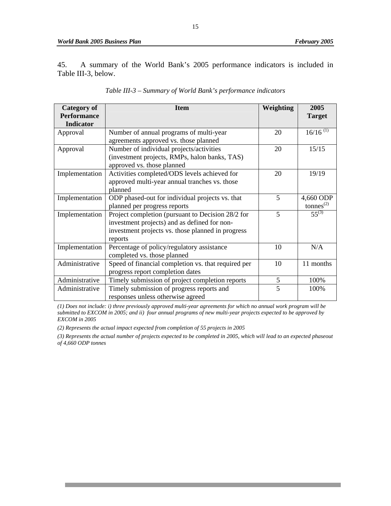45. A summary of the World Bank's 2005 performance indicators is included in Table III-3, below.

| Category of        | <b>Item</b>                                         | Weighting | 2005                                  |
|--------------------|-----------------------------------------------------|-----------|---------------------------------------|
| <b>Performance</b> |                                                     |           | <b>Target</b>                         |
| <b>Indicator</b>   |                                                     |           |                                       |
| Approval           | Number of annual programs of multi-year             | 20        | $16/16$ <sup>(1)</sup>                |
|                    | agreements approved vs. those planned               |           |                                       |
| Approval           | Number of individual projects/activities            | 20        | 15/15                                 |
|                    | (investment projects, RMPs, halon banks, TAS)       |           |                                       |
|                    | approved vs. those planned                          |           |                                       |
| Implementation     | Activities completed/ODS levels achieved for        | 20        | 19/19                                 |
|                    | approved multi-year annual tranches vs. those       |           |                                       |
|                    | planned                                             |           |                                       |
| Implementation     | ODP phased-out for individual projects vs. that     | 5         | 4,660 ODP                             |
|                    | planned per progress reports                        |           | $t$ onnes <sup><math>(2)</math></sup> |
| Implementation     | Project completion (pursuant to Decision 28/2 for   | 5         | $55^{(3)}$                            |
|                    | investment projects) and as defined for non-        |           |                                       |
|                    | investment projects vs. those planned in progress   |           |                                       |
|                    | reports                                             |           |                                       |
| Implementation     | Percentage of policy/regulatory assistance          | 10        | N/A                                   |
|                    | completed vs. those planned                         |           |                                       |
| Administrative     | Speed of financial completion vs. that required per | 10        | 11 months                             |
|                    | progress report completion dates                    |           |                                       |
| Administrative     | Timely submission of project completion reports     | 5         | 100%                                  |
| Administrative     | Timely submission of progress reports and           | 5         | 100%                                  |
|                    | responses unless otherwise agreed                   |           |                                       |

*(1) Does not include: i) three previously approved multi-year agreements for which no annual work program will be submitted to EXCOM in 2005; and ii) four annual programs of new multi-year projects expected to be approved by EXCOM in 2005* 

*(2) Represents the actual impact expected from completion of 55 projects in 2005* 

*(3) Represents the actual number of projects expected to be completed in 2005, which will lead to an expected phaseout of 4,660 ODP tonnes*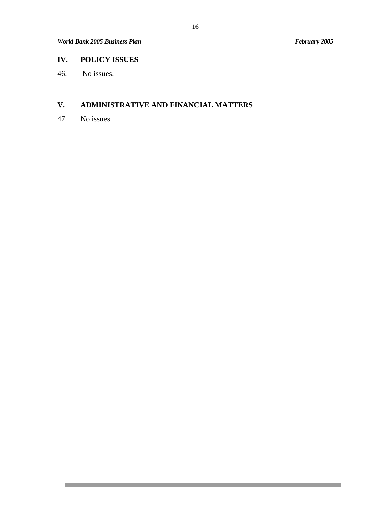#### **IV. POLICY ISSUES**

46. No issues.

#### **V. ADMINISTRATIVE AND FINANCIAL MATTERS**

47. No issues.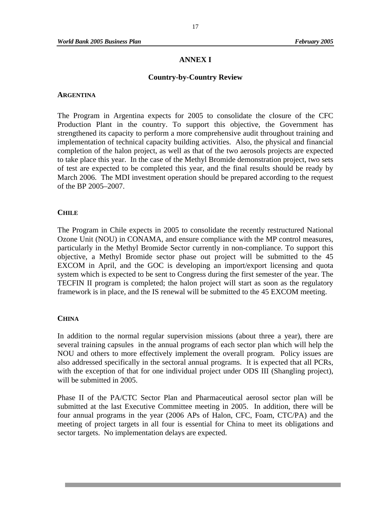#### **ANNEX I**

#### **Country-by-Country Review**

#### **ARGENTINA**

The Program in Argentina expects for 2005 to consolidate the closure of the CFC Production Plant in the country. To support this objective, the Government has strengthened its capacity to perform a more comprehensive audit throughout training and implementation of technical capacity building activities. Also, the physical and financial completion of the halon project, as well as that of the two aerosols projects are expected to take place this year. In the case of the Methyl Bromide demonstration project, two sets of test are expected to be completed this year, and the final results should be ready by March 2006. The MDI investment operation should be prepared according to the request of the BP 2005–2007.

#### **CHILE**

The Program in Chile expects in 2005 to consolidate the recently restructured National Ozone Unit (NOU) in CONAMA, and ensure compliance with the MP control measures, particularly in the Methyl Bromide Sector currently in non-compliance. To support this objective, a Methyl Bromide sector phase out project will be submitted to the 45 EXCOM in April, and the GOC is developing an import/export licensing and quota system which is expected to be sent to Congress during the first semester of the year. The TECFIN II program is completed; the halon project will start as soon as the regulatory framework is in place, and the IS renewal will be submitted to the 45 EXCOM meeting.

#### **CHINA**

In addition to the normal regular supervision missions (about three a year), there are several training capsules in the annual programs of each sector plan which will help the NOU and others to more effectively implement the overall program. Policy issues are also addressed specifically in the sectoral annual programs. It is expected that all PCRs, with the exception of that for one individual project under ODS III (Shangling project), will be submitted in 2005.

Phase II of the PA/CTC Sector Plan and Pharmaceutical aerosol sector plan will be submitted at the last Executive Committee meeting in 2005. In addition, there will be four annual programs in the year (2006 APs of Halon, CFC, Foam, CTC/PA) and the meeting of project targets in all four is essential for China to meet its obligations and sector targets. No implementation delays are expected.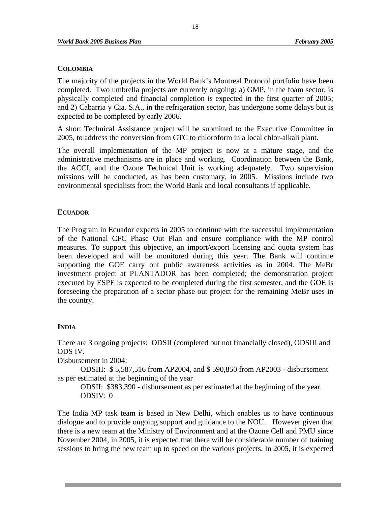#### **COLOMBIA**

The majority of the projects in the World Bank's Montreal Protocol portfolio have been completed. Two umbrella projects are currently ongoing: a) GMP, in the foam sector, is physically completed and financial completion is expected in the first quarter of 2005; and 2) Cabarria y Cia. S.A., in the refrigeration sector, has undergone some delays but is expected to be completed by early 2006.

A short Technical Assistance project will be submitted to the Executive Committee in 2005, to address the conversion from CTC to chloroform in a local chlor-alkali plant.

The overall implementation of the MP project is now at a mature stage, and the administrative mechanisms are in place and working. Coordination between the Bank, the ACCI, and the Ozone Technical Unit is working adequately. Two supervision missions will be conducted, as has been customary, in 2005. Missions include two environmental specialists from the World Bank and local consultants if applicable.

#### **ECUADOR**

The Program in Ecuador expects in 2005 to continue with the successful implementation of the National CFC Phase Out Plan and ensure compliance with the MP control measures. To support this objective, an import/export licensing and quota system has been developed and will be monitored during this year. The Bank will continue supporting the GOE carry out public awareness activities as in 2004. The MeBr investment project at PLANTADOR has been completed; the demonstration project executed by ESPE is expected to be completed during the first semester, and the GOE is foreseeing the preparation of a sector phase out project for the remaining MeBr uses in the country.

#### **INDIA**

There are 3 ongoing projects: ODSII (completed but not financially closed), ODSIII and ODS IV.

Disbursement in 2004:

 ODSIII: \$ 5,587,516 from AP2004, and \$ 590,850 from AP2003 - disbursement as per estimated at the beginning of the year

 ODSII: \$383,390 - disbursement as per estimated at the beginning of the year ODSIV: 0

The India MP task team is based in New Delhi, which enables us to have continuous dialogue and to provide ongoing support and guidance to the NOU. However given that there is a new team at the Ministry of Environment and at the Ozone Cell and PMU since November 2004, in 2005, it is expected that there will be considerable number of training sessions to bring the new team up to speed on the various projects. In 2005, it is expected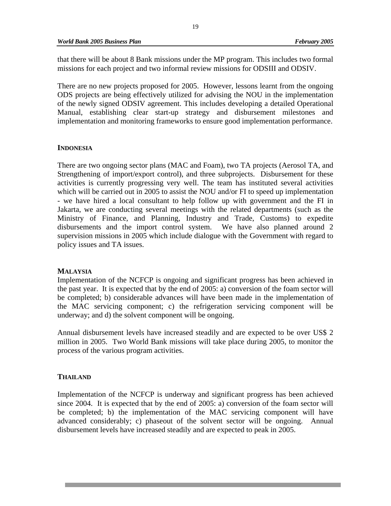that there will be about 8 Bank missions under the MP program. This includes two formal missions for each project and two informal review missions for ODSIII and ODSIV.

There are no new projects proposed for 2005. However, lessons learnt from the ongoing ODS projects are being effectively utilized for advising the NOU in the implementation of the newly signed ODSIV agreement. This includes developing a detailed Operational Manual, establishing clear start-up strategy and disbursement milestones and implementation and monitoring frameworks to ensure good implementation performance.

#### **INDONESIA**

There are two ongoing sector plans (MAC and Foam), two TA projects (Aerosol TA, and Strengthening of import/export control), and three subprojects. Disbursement for these activities is currently progressing very well. The team has instituted several activities which will be carried out in 2005 to assist the NOU and/or FI to speed up implementation - we have hired a local consultant to help follow up with government and the FI in Jakarta, we are conducting several meetings with the related departments (such as the Ministry of Finance, and Planning, Industry and Trade, Customs) to expedite disbursements and the import control system. We have also planned around 2 supervision missions in 2005 which include dialogue with the Government with regard to policy issues and TA issues.

#### **MALAYSIA**

Implementation of the NCFCP is ongoing and significant progress has been achieved in the past year. It is expected that by the end of 2005: a) conversion of the foam sector will be completed; b) considerable advances will have been made in the implementation of the MAC servicing component; c) the refrigeration servicing component will be underway; and d) the solvent component will be ongoing.

Annual disbursement levels have increased steadily and are expected to be over US\$ 2 million in 2005. Two World Bank missions will take place during 2005, to monitor the process of the various program activities.

#### **THAILAND**

Implementation of the NCFCP is underway and significant progress has been achieved since 2004. It is expected that by the end of 2005: a) conversion of the foam sector will be completed; b) the implementation of the MAC servicing component will have advanced considerably; c) phaseout of the solvent sector will be ongoing. Annual disbursement levels have increased steadily and are expected to peak in 2005.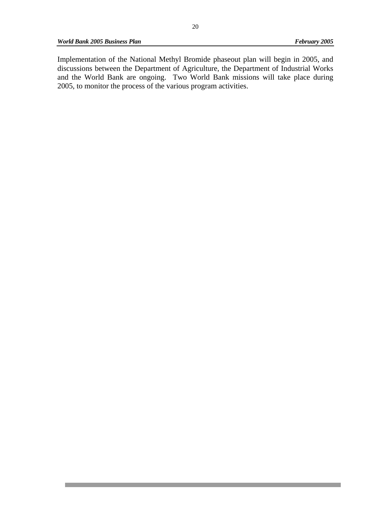*World Bank 2005 Business Plan* February 2005 **February 2005** 

Implementation of the National Methyl Bromide phaseout plan will begin in 2005, and discussions between the Department of Agriculture, the Department of Industrial Works and the World Bank are ongoing. Two World Bank missions will take place during 2005, to monitor the process of the various program activities.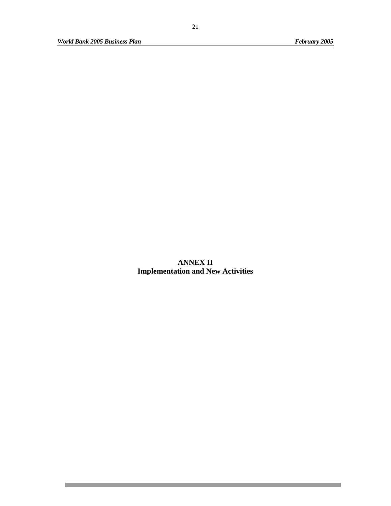П

**ANNEX II Implementation and New Activities**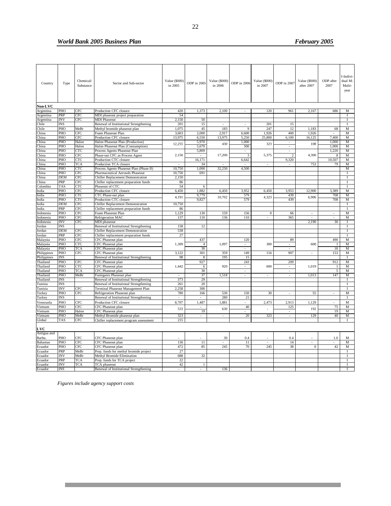#### *World Bank 2005 Business Plan* February 2005 **February 2005**

| Country                 | Type       | Chemical/<br>Substance | Sector and Sub-sector                                       | Value (\$000)<br>in 2005 | ODP in 2005          | Value (\$000)<br>in 2006 | ODP in 2006                        | Value (\$000)<br>in 2007 | ODP in 2007    | Value (\$000)<br>after 2007 | ODP after<br>2007    | I-Indivi-<br>dual M-<br>Multi-<br>year |
|-------------------------|------------|------------------------|-------------------------------------------------------------|--------------------------|----------------------|--------------------------|------------------------------------|--------------------------|----------------|-----------------------------|----------------------|----------------------------------------|
|                         |            |                        |                                                             |                          |                      |                          |                                    |                          |                |                             |                      |                                        |
| Non-LVC                 |            |                        |                                                             |                          |                      |                          |                                    |                          |                |                             |                      |                                        |
| Argentina               | PHO<br>PRP | CFC<br>CFC             | Production CFC closure                                      | 420<br>54                | 1,373                | 2,100                    |                                    | 120                      | 961            | 2,167                       | 686                  | M<br>$\mathbf I$                       |
| Argentina               | <b>INV</b> | CFC                    | MDI phaseout project preparation<br><b>MDI Phaseout</b>     | 2.150                    | 50                   |                          |                                    |                          |                |                             |                      | $\bf{I}$                               |
| Argentina<br>Chile      | <b>INS</b> |                        | Renewal of Institutional Strengthening                      | 201                      | 15                   | $\bar{\phantom{a}}$      | $\blacksquare$                     | 201                      | 15             |                             |                      | 1                                      |
| Chile                   | PHO        | MeBr                   | Methyl bromide phaseout plan                                | 1,075                    | 45                   | 183                      | $\mathbf Q$                        | 247                      | 12             | 1,183                       | 68                   | M                                      |
| China                   | PHO        | CFC                    | Foam Phaseout Plan                                          | 3,603                    | 2.000                | 2.917                    | 6,600                              | 1,926                    | 400            | 1,926                       |                      | M                                      |
| China                   | PHO        | CFC                    | Production CFC closure                                      | 13,975                   | 6,550                | 13,975                   | 5,250                              | 25,800                   | 6,100          | 16,125                      | 7,400                | M                                      |
| China                   | PHO        | Halon                  | Halon Phaseout Plan (Production)                            |                          | 5,970                |                          | 1,000                              |                          | $\omega$       |                             | 1,000                | $\overline{M}$                         |
| China                   | PHO        | Halon                  | Halon Phaseout Plan (Consumption)                           | 12,255                   | 5.670                | 430                      | 500                                | 323                      | $\blacksquare$ | 108                         | 1,000                | M                                      |
| China                   | PHO        | <b>CTC</b>             | Process Agents Phaseout Plan                                |                          | 5,809                |                          | $\blacksquare$                     |                          | $\sim$         |                             | 1,220                | $\overline{M}$                         |
| China                   | PHO        | CFC                    | Phase-out CFC as Process Agent                              | 2,150                    | $\sim$               | 17,200                   | 3                                  | 5,375                    | $\overline{2}$ | 4,300                       | 8                    | M                                      |
| China                   | PHO        | <b>CTC</b>             | Production CTC closure                                      |                          | 16,171               |                          | 6,642                              |                          | 9,320          |                             | 10,507               | M                                      |
| China                   | PHO        | <b>TCA</b>             | Production TCA closure                                      |                          | 34                   |                          |                                    | ä,                       |                | 753                         | 79                   | $\mathbf M$                            |
| China                   | PHO        | CTC                    | Process Agents Phaseout Plan (Phase II)                     | 10,750                   | 1,000                | 32,250                   | 4,500                              |                          |                |                             |                      | M                                      |
| China                   | PHO        | CFC                    | Pharmaceutical Aerosols Phaseout                            | 10,750                   | 691                  |                          |                                    |                          |                |                             |                      | $\bf{I}$                               |
| China                   | DEM        | CFC                    | Chiller Replacement Demonstration                           | 2,150                    |                      |                          |                                    |                          |                |                             |                      | I                                      |
| China                   | PRP        | CFC                    | Chiller replacement preparation funds                       | 86                       |                      |                          |                                    |                          |                |                             |                      | Т                                      |
| Colombia                | TAS        | CTC                    | Phaseout of CTC                                             | 54                       | 6                    |                          |                                    |                          |                |                             |                      | T                                      |
| India                   | PHO        | CFC                    | Production CFC closure                                      | 6.450                    | 1.882                | 6.450                    | 3.952                              | 6,450                    | 3.953          | 12,900                      | 3.389                | M                                      |
| India                   | PHO        | CTC                    | CTC Phase-out plan                                          | 4,191                    | 9,779                | 10.702                   | 579                                | 4,323                    | 439            | 6,906                       | 708                  | M                                      |
| India                   | PHO        | CTC                    | Production CTC closure                                      |                          | 9,827                |                          | 579                                |                          | 439            |                             | 708                  | $\overline{M}$                         |
| India                   | <b>DEM</b> | CFC                    | Chiller Replacement Demonstration                           | 10,750                   |                      |                          |                                    |                          |                |                             |                      | $\bf{I}$                               |
| India                   | PRP        | CFC                    | Chiller replacement preparation funds                       | 86                       |                      |                          |                                    |                          |                |                             |                      | $\mathbf I$                            |
| Indonesia               | PHO        | CFC                    | Foam Phaseout Plan                                          | 1,129                    | 130                  | 159                      | 156                                | $\overline{0}$           | 66             | $\sim$                      | $\sim$               | M                                      |
| Indonesia               | PHO        | CFC                    | Refrigeration MAC                                           | 137                      | 110                  | 136                      | 110                                | $\bar{\phantom{a}}$      | 365            | $\overline{\phantom{a}}$    | ä,                   | M                                      |
| Indonesia               | <b>INV</b> | CFC                    | MDI phaseout                                                |                          |                      |                          |                                    |                          |                | 2.190                       | 30                   | $\mathbf I$                            |
| Jordan                  | INS        |                        | Renewal of Institutional Strengthening                      | 158                      | 12                   |                          |                                    |                          |                |                             |                      | $\mathbf{I}$                           |
| ordan                   | <b>DEM</b> | CFC                    | Chiller Replacement Demonstration                           | 538                      |                      |                          |                                    |                          |                |                             |                      | $\bf{I}$                               |
| ordan                   | PRP        | <b>CFC</b>             | Chiller replacement preparation funds                       | 27                       |                      |                          |                                    |                          |                |                             |                      | $\mathbf{I}$                           |
| Malaysia                | PHO        | CFC                    | CFC Phaseout plan                                           |                          | 437                  |                          | 120                                |                          | 89             |                             | 490                  | M                                      |
| Malaysia                | PHO<br>PHO | CTC                    | CFC Phaseout plan                                           | 1,309                    | $\overline{4}$<br>30 | 1,097                    | $\sim$                             | 300                      | $\sim$         | 600                         | $\overline{1}$<br>18 | M                                      |
| Malaysia                | PHO        | <b>TCA</b><br>CFC      | CFC Phaseout plan                                           | 3,122                    | 301                  | 359                      | $\mathcal{L}_{\mathcal{A}}$<br>149 | 116                      | ÷,<br>907      |                             | 153                  | М<br>M                                 |
| Philippines             | <b>INS</b> |                        | CFC Phaseout plan<br>Renewal of Institutional Strengthening | 98                       | $\,$ 8 $\,$          | 195                      | 15                                 |                          |                |                             |                      | $\mathbf{I}$                           |
| Philippines<br>Thailand | PHO        | CFC                    | CFC Phaseout plan                                           |                          | 927                  |                          | 243                                |                          | 209            |                             | 912                  | M                                      |
| Thailand                | PHO        | <b>CTC</b>             | CFC Phaseout plan                                           | 1,442                    | 6                    | 920                      | ÷.                                 | 600                      | ä,             | 1,019                       | $\mathbf{1}$         | M                                      |
| Thailand                | PHO        | <b>TCA</b>             | CFC Phaseout plan                                           |                          | 30                   |                          |                                    |                          | $\sim$         |                             | 5                    | $\mathbf M$                            |
| Thailand                | PHO        | MeBr                   | Fumigants Phaseout plan                                     | $\bar{\phantom{a}}$      | 37                   | 1,518                    | ۰<br>$\sim$                        | $\bar{\phantom{a}}$      | ÷.             | 1,013                       | 147                  | M                                      |
| Thailand                | <b>INS</b> |                        | Renewal of Institutional Strengthening                      | 373                      | 29                   |                          |                                    |                          |                |                             |                      | $\bf{I}$                               |
| Tunisia                 | <b>INS</b> |                        | Renewal of Institutional Strengthening                      | 261                      | 20                   |                          |                                    |                          |                |                             |                      | $\mathbf{I}$                           |
| Funisia                 | <b>INV</b> | CFC                    | Terminal Phaseout Management Plan                           | 2,258                    | 300                  |                          |                                    |                          |                |                             |                      | $\mathbf I$                            |
| Turkey                  | PHO        | CFC                    | Refrigeration Phaseout plan                                 | 780                      | 166                  | 530                      | 150                                | 30                       | $\sim$         | 55                          |                      | M                                      |
| <b>Turkey</b>           | <b>INS</b> |                        | Renewal of Institutional Strengthening                      |                          |                      | 280                      | 21                                 |                          |                |                             |                      | $\mathbf{I}$                           |
| Venezuela               | PHO        | CFC                    | Production CFC closure                                      | 8,707                    | 1,487                | 1,881                    | $\mathcal{L}_{\mathcal{A}}$        | 2,473                    | 2,913          | 1,129                       |                      | M                                      |
| Vietnam                 | PHO        | CFC                    | CFC Phaseout plan                                           |                          |                      |                          | 40                                 |                          | 125            |                             | 75                   | M                                      |
| Vietnam                 | PHO        | Halon                  | CFC Phaseout plan                                           | 533                      | 19                   | 630                      | $\overline{a}$                     | $\overline{a}$           | L.             | 192                         | 19                   | M                                      |
| Vietnam                 | PHO        | MeBr                   | Methyl Bromide phaseout plan                                | 323                      | ÷.                   | $\sim$                   | $\overline{20}$                    | 323                      | $\mathbf{r}$   | 129                         | 40                   | $\overline{M}$                         |
| Global                  | TAS        | CFC                    | Chiller replacement program assessment                      | 215                      |                      |                          |                                    |                          |                |                             |                      | $\bf{I}$                               |
|                         |            |                        |                                                             |                          |                      |                          |                                    |                          |                |                             |                      |                                        |
| LVC<br>Antigua and      |            |                        |                                                             |                          |                      |                          |                                    |                          |                |                             |                      |                                        |
| Barbu                   | PHO        | CFC                    | CFC Phaseout plan                                           |                          |                      | 30                       | 0.4                                |                          | 0.4            |                             | 1.0                  | M                                      |
| Bahamas                 | PHO        | CFC                    | CFC Phaseout plan                                           | 136                      | 11                   |                          | 11                                 |                          | 14             |                             |                      | M                                      |
| Ecuador                 | PHO        | CFC                    | CFC Phaseout plan                                           | 472                      | 85                   | 245                      | 70                                 | 245                      | 38             | $\overline{0}$              | 42                   | M                                      |
| Ecuador                 | PRP        | MeBr                   | Prep. funds for methyl bromide project                      | 27                       |                      |                          |                                    |                          |                |                             |                      | Ι.                                     |
| Ecuador                 | INV        | MeBr                   | Methyl Bromide Elimination                                  | 688                      | 32                   |                          |                                    |                          |                |                             |                      | $\mathbf I$                            |
| Ecuador                 | PRP        | <b>TCA</b>             | Prep. funds for TCA project                                 | 22                       |                      |                          |                                    |                          |                |                             |                      | $\mathbf{I}$                           |
| Ecuador                 | <b>INV</b> | <b>TCA</b>             | TCA phaseout                                                | 42                       | $\mathbf{1}$         |                          |                                    |                          |                |                             |                      | I                                      |
| Ecuador                 | <b>INS</b> |                        | Renewal of Institutional Strengthening                      | $\mathbf{r}$             | $\mathbf{r}$         | 136                      |                                    |                          |                |                             |                      | T                                      |

*Figures include agency support costs*

٠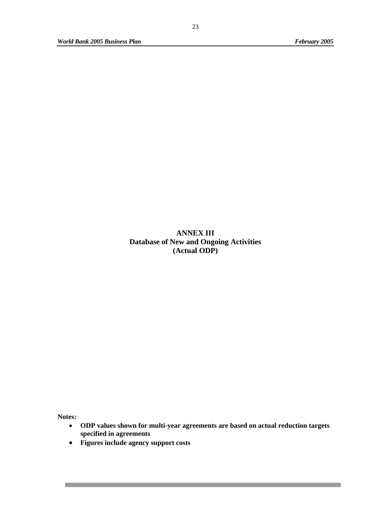**ANNEX III Database of New and Ongoing Activities (Actual ODP)** 

**Notes:** 

- **ODP values shown for multi-year agreements are based on actual reduction targets specified in agreements**
- **Figures include agency support costs**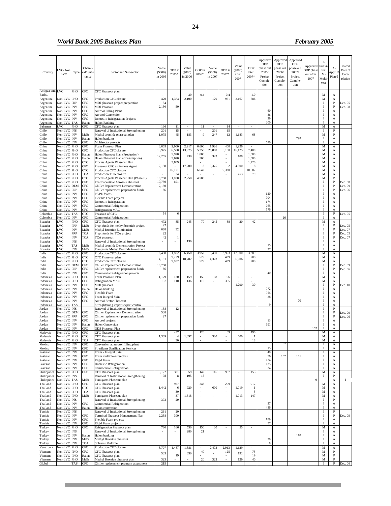#### *World Bank 2005 Business Plan* February 2005 **February 2005**

٠

|                            |                            |                                  |                          |                                                                                |              |                       |            |                 |            |                 |                 |                       | Approved<br>ODP   | Approved<br>ODP | Approved<br>ODP |                              | I-                           |                                |                    |
|----------------------------|----------------------------|----------------------------------|--------------------------|--------------------------------------------------------------------------------|--------------|-----------------------|------------|-----------------|------------|-----------------|-----------------|-----------------------|-------------------|-----------------|-----------------|------------------------------|------------------------------|--------------------------------|--------------------|
|                            |                            |                                  | Chemi-                   |                                                                                | Value        |                       | Value      |                 | Value      |                 | Value           | ODP                   | phase out         | phase out       | phase ou        | Approved                     | Indivi                       | $A-$                           | Plan'd             |
| Country                    | VC/Nor<br><b>LVC</b>       | Type                             | cal/ Sub                 | Sector and Sub-sector                                                          | (5000)       | ODP ir<br>2005*       | (S000)     | ODP in<br>2006* | (5000)     | ODP in<br>2007* | (5000)<br>after | after                 | 2005/             | 2006/           | 2007/           | <b>DP</b> phase<br>out after | dual<br>$M-$                 | Appr. F                        | Date of<br>Com-    |
|                            |                            |                                  | tance                    |                                                                                | in 2005      |                       | in 2006    |                 | in 2007    |                 | 2007            | 2007*                 | Project           | Project         | Project         | 2007                         | Multi                        | Plan'd                         | pletion            |
|                            |                            |                                  |                          |                                                                                |              |                       |            |                 |            |                 |                 |                       | Comple-<br>tion   | Comple-<br>tion | Comple-<br>tion |                              | year                         |                                |                    |
| Antigua and                | LVC                        |                                  |                          |                                                                                |              |                       |            |                 |            |                 |                 |                       |                   |                 |                 |                              |                              |                                |                    |
| Barbu.                     |                            | PHO                              | CFC                      | CFC Phaseout plan                                                              |              |                       | 30         | 0.4             |            | 0.4             |                 | 1.0                   |                   |                 |                 |                              | M                            | A                              |                    |
| Argentina                  | Non-LVC PHO                |                                  | CFC                      | Production CFC closure                                                         | 420          | 1,373                 | 2,100      |                 | 120        | 961             | 2,167           | 686                   |                   |                 |                 |                              | M                            | $\mathbf{A}$                   |                    |
| Argentina<br>Argentina     | Non-LVC<br>Non-LVC INV     | <b>PRP</b>                       | CFC<br>CFC               | MDI phaseout project preparation<br><b>MDI</b> Phaseout                        | 54<br>2,150  | 50                    |            |                 |            |                 |                 |                       |                   |                 |                 |                              | $\mathbf{I}$<br>$\mathbf{I}$ | $\mathbf{P}$<br>$\mathbf{P}$   | Dec. 05<br>Dec. 08 |
| Argentina                  | Non-LVC INV                |                                  | CFC                      | <b>Aerosol Filling Plant</b>                                                   |              |                       |            |                 |            |                 |                 |                       | 60                |                 |                 |                              | 1                            | A                              |                    |
| Argentina<br>Argentina     | Non-LVC INV<br>Non-LVC INV |                                  | <b>CFC</b><br>CFC        | <b>Aerosol Conversion</b><br>Domestic Refrigeration Projects                   |              |                       |            |                 |            |                 |                 |                       | 36<br>29          |                 |                 |                              | 1<br>I                       | A<br>A                         |                    |
| Argentina                  | Non-LVC TAS                |                                  | Halon                    | Halon Banking                                                                  |              |                       |            |                 |            |                 |                 |                       | 200               |                 |                 |                              | I                            | A                              |                    |
| Bahamas                    | LVC                        | PHO                              | CFC                      | CFC Phaseout plan                                                              | 136          | 11                    |            | 11              |            | 14              |                 |                       |                   |                 |                 |                              | M                            | A                              |                    |
| Chile<br>Chile             | Non-LVC INS<br>Non-LVC INV |                                  | MeBr                     | Renewal of Institutional Strengthening<br>Methyl bromide phaseout plan         | 201<br>1,075 | 15<br>45              | 183        | 9               | 201<br>247 | 15<br>12        | 1,183           | 68                    |                   |                 |                 |                              | I<br>М                       | P<br>$\, {\bf P}$              |                    |
| Chile                      | Non-LVC INV                |                                  | Halon                    | Halon banking                                                                  |              |                       |            |                 |            |                 |                 |                       |                   |                 | 298             |                              | <b>I</b>                     | A                              |                    |
| Chile<br>China             | Non-LVC<br>Non-LVC         | <b>INV</b><br>PHO                | CFC<br>CFC               | Multisector projects<br>Foam Phaseout Plan                                     | 3,603        | 2,000                 | 2,917      | 6,600           | 1,926      | 400             | 1,926           |                       | 670               |                 |                 |                              | M                            | A<br>A                         |                    |
| China                      | Non-LVC                    | PHO                              | CFC                      | Production CFC closure                                                         | 13,975       | 6,550                 | 13,975     | 5,250           | 25,800     | 6,100           | 16,125          | 7,400                 |                   |                 |                 |                              | M                            | А                              |                    |
| China                      | Non-LVC                    | PHO                              | Halon                    | Halon Phaseout Plan (Production)                                               | 12,255       | 5,970                 | 430        | 1,000           | 323        |                 | 108             | 1,000                 |                   |                 |                 |                              | M                            | A                              |                    |
| China<br>China             | Non-LVC<br>Non-LVC PHO     | PHO                              | Halon<br>CTC             | Halon Phaseout Plan (Consumption)<br>Process Agents Phaseout Plan              |              | 5,670<br>5,809        |            | 500             |            |                 |                 | 1,000<br>1,220        |                   |                 |                 |                              | M<br>M                       | A<br>A                         |                    |
| China                      | Non-LVC PHO                |                                  | CFC                      | Phase-out CFC as Process Agent                                                 | 2,150        | ٠                     | 17,200     | 3               | 5,375      | 2               | 4,300           | -8                    |                   |                 |                 |                              | M                            | A                              |                    |
| China<br>China             | Non-LVC PHO<br>Non-LVC PHO |                                  | <b>CTC</b><br><b>TCA</b> | Production CTC closure<br>Production TCA closure                               |              | 16,171<br>34          |            | 6,642           |            | 9,320           | 753             | 10,507<br>79          |                   |                 |                 |                              | M<br>M                       | А<br>А                         |                    |
| China                      | Non-LVC PHO                |                                  | CTC                      | Process Agents Phaseout Plan (Phase II)                                        | 10,750       | 1,000                 | 32,250     | 4,500           |            |                 |                 |                       |                   |                 |                 |                              | M                            | P                              |                    |
| China                      | Non-LVC PHO                |                                  | <b>CFC</b>               | Pharmaceutical Aerosols Phaseout                                               | 10,750       | 691                   |            |                 |            |                 |                 |                       |                   |                 |                 |                              | I                            | P                              | Dec. 08            |
| China<br>China             | Non-LVC DEM<br>Non-LVC PRP |                                  | CFC<br>CFC               | Chiller Replacement Demonstration<br>Chiller replacement preparation funds     | 2,150<br>86  |                       |            |                 |            |                 |                 |                       |                   |                 |                 |                              | $\mathbf{I}$<br>л            | P<br>P                         | Dec. 09<br>Dec. 06 |
| China                      | Non-LVC INV                |                                  | <b>CFC</b>               | PS/PE foams                                                                    |              |                       |            |                 |            |                 |                 |                       | 120               |                 |                 |                              | л                            | $\mathbf{A}$                   |                    |
| China<br>China             | Non-LVC INV<br>Non-LVC INV |                                  | CFC<br>CFC               | Flexible Foam projects<br><b>Domestic Refrigeration</b>                        |              |                       |            |                 |            |                 |                 |                       | 704<br>174        |                 |                 |                              | 1<br>1                       | A<br>A                         |                    |
| China                      | Non-LVC                    | <b>INV</b>                       | CFC                      | Commercial Refrigeration                                                       |              |                       |            |                 |            |                 |                 |                       | 765               |                 |                 |                              | Ι                            | A                              |                    |
| China                      | Non-LVC                    | <b>INV</b>                       | CFC                      | Refrigeration MAC                                                              |              |                       |            |                 |            |                 |                 |                       | 576               |                 |                 |                              | ı                            | A                              |                    |
| Colombia<br>Colombia       | Non-LVC<br>Non-LVC         | <b>TAS</b><br><b>INV</b>         | CTC<br><b>FC</b>         | Phaseout of CTC<br>Commercial Refrigeration                                    | 54           | 6                     |            |                 |            |                 |                 |                       |                   | 26              |                 |                              | 1<br>I                       | P<br>A                         | Dec. 05            |
| Ecuador                    | LVC                        | PHO                              | CFC                      | CFC Phaseout plan                                                              | 472          | 85                    | 245        | 70              | 245        | 38              | 20              | 42                    |                   |                 |                 |                              | M                            | A                              |                    |
| Ecuador<br>Ecuador         | .VC<br>.VC                 | PRP<br>$\ensuremath{\text{INV}}$ | MeBr<br>MeBr             | Prep. funds for methyl bromide project<br>Methyl Bromide Elimination           | 27<br>688    | 32                    |            |                 |            |                 |                 |                       |                   |                 |                 |                              | $\mathbf{I}$<br>1            | $\mathbf{P}$<br>$\mathbf{P}$   | Dec. 05<br>Dec. 07 |
| Ecuador                    | LVC                        | <b>PRP</b>                       | TCA                      | Prep. funds for TCA project                                                    | 22           |                       |            |                 |            |                 |                 |                       |                   |                 |                 |                              | 1                            | $\mathbf{P}$                   | Dec. 05            |
| Ecuador                    | LVC                        | <b>INV</b>                       | TCA                      | TCA phaseout                                                                   | 42           |                       |            |                 |            |                 |                 |                       |                   |                 |                 |                              | 1                            | $\, {\bf P}$                   | Dec. 07            |
| Ecuador<br>Ecuador         | LVC<br>LVC                 | <b>INS</b><br><b>TAS</b>         | MeBr                     | Renewal of Institutional Strengthening<br>Methyl bromide Demonstration Project |              |                       | 136        |                 |            |                 |                 |                       | 15                |                 |                 |                              | 1<br>I                       | A<br>$\mathbf{A}$              |                    |
| Ecuador                    | LVC                        | <b>INV</b>                       | MeBr                     | Fumigants Methyl Bromide investment                                            |              |                       |            |                 |            |                 |                 |                       | 37                |                 |                 |                              | I                            | A                              |                    |
| India<br>India             | Non-LV<br>Non-LVC PHO      | PHO                              | CFC<br><b>CTC</b>        | Production CFC closure<br>CTC Phase-out plan                                   | 6,450        | 1,882<br>9,779        | 6,450      | 3,952<br>579    | 6,450      | 3,953<br>439    | 12,900          | 3,389<br>708          |                   |                 |                 |                              | M<br>М                       | $\boldsymbol{\mathsf{A}}$<br>A |                    |
| India                      | Non-LVC                    | PHO                              | <b>CTC</b>               | Production CTC closure                                                         | 4,191        | 9,827                 | 10,702     | 579             | 4,323      | 439             | 6,906           | 708                   |                   |                 |                 |                              | M                            | A                              |                    |
| India<br>India             | Non-LVC DEM<br>Non-LVC PRP |                                  | CFC<br>CFC               | Chiller Replacement Demonstration<br>Chiller replacement preparation funds     | 10,750<br>86 |                       |            |                 |            |                 |                 |                       |                   |                 |                 |                              | -1<br>I                      | P<br>$\, {\bf P}$              | Dec. 09<br>Dec. 06 |
| India                      | Non-LVC                    | <b>INV</b>                       | CFC                      | Commercial Refrigeration projects                                              |              |                       |            |                 |            |                 |                 |                       | 40                |                 |                 |                              |                              | A                              |                    |
| Indonesia                  | Non-LVC                    | PHO                              | CFC                      | Foam Phaseout Plan                                                             | 1,129        | 130                   | 159        | 156             | 38         | 66              |                 |                       |                   |                 |                 |                              | M                            | A                              |                    |
| Indonesia<br>Indonesia     | Non-LVC<br>Non-LVC INV     | PHO                              | CFC<br>CFC               | Refrigeration MAC<br>MDI phaseout                                              | 137          | 110                   | 136        | 110             |            | 365             | 1,290           | 30                    |                   |                 |                 |                              | M<br>$\mathbf{I}$            | $\mathbf{A}$<br>$\, {\bf P}$   | Dec. 10            |
| Indonesia                  | Non-LVC INV                |                                  | Halon                    | Halon banking                                                                  |              |                       |            |                 |            |                 |                 |                       | 972               |                 |                 |                              | $\mathbf{I}$                 | $\mathbf{A}$                   |                    |
| Indonesia<br>Indonesia     | Non-LVC INV<br>Non-LVC INV |                                  | CFC<br>CFC               | <b>Flexible Foam</b><br>Foam Integral Skin                                     |              |                       |            |                 |            |                 |                 |                       | 954<br>28         |                 |                 |                              | л<br>1                       | A<br>A                         |                    |
| Indonesia                  | Non-LVC INV                |                                  | CFC                      | <b>Aerosol Sector Phaseout</b>                                                 |              |                       |            |                 |            |                 |                 |                       |                   |                 | 70              |                              | I                            | A                              |                    |
| Indonesia                  | Non-LVC TAS                |                                  |                          | Strenghtening import/export control                                            | 158          | 12                    |            |                 |            |                 |                 |                       | 9                 |                 |                 |                              | 1<br>I                       | A<br>$\mathbf P$               |                    |
| Jordan<br>Jordan           | Non-LVC INS<br>Non-LVC DEM |                                  | <b>CFC</b>               | Renewal of Institutional Strengthening<br>Chiller Replacement Demonstration    | 538          |                       |            |                 |            |                 |                 |                       |                   |                 |                 |                              | I                            | P                              | Dec. 09            |
| Jordan                     | Non-LVC PRP                |                                  | CFC                      | Chiller replacement preparation funds                                          | 27           |                       |            |                 |            |                 |                 |                       |                   |                 |                 |                              | Т                            | P                              | Dec. 06            |
| Jordan<br>Jordan           | Non-LVC INV<br>Non-LVC     | <b>INV</b>                       | CFC<br>Halon             | Aerosol projects<br><b>Halon Conversion</b>                                    |              |                       |            |                 |            |                 |                 |                       | 13<br>191         |                 |                 |                              | 1<br>1                       | A<br>A                         |                    |
| <b></b> ordan              | Non-LVC                    | <b>INV</b>                       | CFC                      | <b>ODS</b> Phaseout Plan                                                       |              |                       |            |                 |            |                 |                 |                       |                   |                 |                 | 157                          |                              | А                              |                    |
| Malaysia<br>Malaysia       | Non-LVC PHO<br>Non-LVC PHO |                                  | CFC<br>стс               | CFC Phaseout plan<br>CFC Phaseout plan                                         | 1,309        | 437<br>$\overline{4}$ | 1,097      | 120             | 300        | 89              | 600             | 490<br>$\overline{1}$ |                   |                 |                 |                              | М<br>M                       | А<br>A                         |                    |
| Malaysia                   | Non-LVC                    | <b>IPHO</b>                      |                          | :FC Phaseout plan                                                              |              |                       |            |                 |            |                 |                 | 18                    |                   |                 |                 |                              | м                            |                                |                    |
| Mexico                     | Non-LVC INV<br>Non-LVC INV |                                  | CFC                      | Conversion at aerosol filling plant                                            |              |                       |            |                 |            |                 |                 |                       | 15                | 57              |                 |                              | $\rm I$<br>$\mathbf{I}$      | $\boldsymbol{\mathsf{A}}$      |                    |
| Mexico<br>Pakistan         | Non-LVC INV                |                                  | CFC<br>CFC               | <b>Strerilants Sterilization Services</b><br>Foam - Integral Skin              |              |                       |            |                 |            |                 |                 |                       | 40                |                 |                 |                              | 1                            | А<br>A                         |                    |
| Pakistan                   | Non-LVC INV                |                                  | CFC                      | Foam multiple-subsectors                                                       |              |                       |            |                 |            |                 |                 |                       | 56                | 107             | 181             |                              | Ι                            | A                              |                    |
| Pakistan<br>Pakistan       | Non-LVC INV<br>Non-LVC INV |                                  | CFC<br><b>CFC</b>        | Rigid Foam<br>Domestic Refrigeration                                           |              |                       |            |                 |            |                 |                 |                       | 124<br>135        |                 |                 |                              | I<br>I                       | A<br>A                         |                    |
| Pakistan                   | Non-LVC INV                |                                  | CFC                      | Commercial Refrigeration                                                       |              |                       |            |                 |            |                 |                 |                       | 34                |                 |                 |                              | I                            | A                              |                    |
| Philippines<br>Philippines | Non-LVC PHO<br>Non-LVC INS |                                  | CFC                      | CFC Phaseout plan<br>Renewal of Institutional Strengthening                    | 3,122<br>98  | 301<br>8              | 359<br>195 | 149<br>15       | 116        | 907             |                 | 153                   |                   |                 |                 |                              | M<br>$\mathbf I$             | A<br>$\, {\bf P}$              |                    |
| Philippines                | Non-LVC                    | <b>TAS</b>                       | MeBr                     | Fumigants Phaseout plan                                                        |              |                       |            |                 |            |                 |                 |                       |                   |                 |                 | $\overline{9}$               |                              | A                              | 1                  |
| Thailand                   | Non-LVC PHO                |                                  | CFC                      | CFC Phaseout plan                                                              |              | 927                   |            | 243             |            | 209             |                 | 912                   |                   |                 |                 |                              | M                            | A                              |                    |
| Thailand<br>Thailand       | Non-LVC PHO<br>Non-LVC PHO |                                  | CTC<br>TCA               | CFC Phaseout plan<br>CFC Phaseout plan                                         | 1,442        | 6<br>30               | 920        |                 | 600        |                 | 1,019           | -1<br>5               |                   |                 |                 |                              | M<br>М                       | А<br>$\mathbf{A}$              |                    |
| Thailand                   | Non-LVC PHO                |                                  | MeBr                     | Fumigants Phaseout plan                                                        |              | 37                    | 1,518      |                 |            |                 | 1,013           | 147                   |                   |                 |                 |                              | M                            | A                              |                    |
| Thailand<br>Thailand       | Non-LVC INS<br>Non-LVC INV |                                  | CFC                      | Renewal of Institutional Strengthening<br>Commercial Refrigeration             | 373          | 29                    |            |                 |            |                 |                 |                       | 27                |                 |                 |                              | I<br>I                       | P<br>$\mathbf{A}$              |                    |
| Thailand                   | Non-LVC INV                |                                  | Halon                    | Halon conversion                                                               |              |                       |            |                 |            |                 |                 |                       | 436               |                 |                 |                              | $\mathbf{I}$                 | А                              |                    |
| Tunisia                    | Non-LVC INS                |                                  |                          | Renewal of Institutional Strengthening                                         | 261          | 20<br>300             |            |                 |            |                 |                 |                       |                   |                 |                 |                              | Ι                            | $\, {\bf P}$                   |                    |
| Tunisia<br>Tunisia         | Non-LVC INV<br>Non-LVC INV |                                  | CFC<br>CFC               | Terminal Phaseout Management Plan<br>Flexible Foam projects                    | 2,258        |                       |            |                 |            |                 |                 |                       | 189               |                 |                 |                              | I<br>I                       | $\, {\bf P}$<br>A              | Dec. 09            |
| Tunisia                    | Non-LVC INV                |                                  | CFC                      | Rigid Foam projects                                                            |              |                       |            |                 |            |                 |                 |                       | 57                |                 |                 |                              | 1                            | А                              |                    |
| Turkey<br>Turkey           | Non-LVC PHO<br>Non-LVC INS |                                  | CFC                      | Refrigeration Phaseout plan<br>Renewal of Institutional Strengthening          | 780          | 166                   | 530<br>280 | 150<br>21       | 30         |                 | 55              |                       |                   |                 |                 |                              | M<br>1                       | A<br>$\mathbf{A}$              |                    |
| Turkey                     | Non-LVC INV                |                                  | Halon                    | Halon banking                                                                  |              |                       |            |                 |            |                 |                 |                       |                   |                 | 118             |                              | I                            | A                              |                    |
| Turkey<br>Turkey           | Non-LVC INV<br>Non-LVC INV |                                  | MeBr<br>TCA              | Methyl Bromide phaseout<br>Solvents Multiple                                   |              |                       |            |                 |            |                 |                 |                       | 30<br>$\,$ 8 $\,$ |                 |                 |                              | I                            | $\mathbf{A}$<br>А              |                    |
| Venezuela                  | Non-LVC PHO                |                                  | CFC                      | Production CFC closure                                                         | 8,707        | 1,487                 | 1,881      |                 | 2,473      | 2,913           | 1,129           |                       |                   |                 |                 |                              | M                            | A                              |                    |
| Vietnam                    | Non-LVC PHO                |                                  | CFC                      | CFC Phaseout plan                                                              | 533          |                       | 630        | $40\,$          |            | 125             | 192             | 75                    |                   |                 |                 |                              | M                            | P                              |                    |
| Vietnam<br>Vietnam         | Non-LVC PHO<br>Non-LVC PHO |                                  | Halon<br>MeBr            | CFC Phaseout plan<br>Methyl Bromide phaseout plan                              | 323          | 19                    |            | 20              | 323        |                 | 129             | 19<br>$40\,$          |                   |                 |                 |                              | M<br>M                       | $\, {\bf P}$<br>P              |                    |
| Global                     |                            | <b>TAS</b>                       | CFC                      | Chiller replacement program assessment                                         | 215          |                       |            |                 |            |                 |                 |                       |                   |                 |                 |                              | -1                           | $\mathbf{P}$                   | Dec. 06            |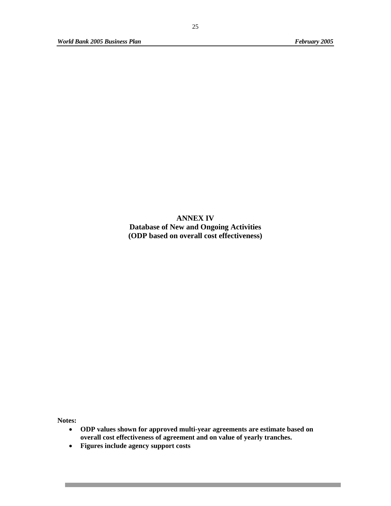**ANNEX IV Database of New and Ongoing Activities (ODP based on overall cost effectiveness)** 

**Notes:** 

- **ODP values shown for approved multi-year agreements are estimate based on overall cost effectiveness of agreement and on value of yearly tranches.**
- **Figures include agency support costs**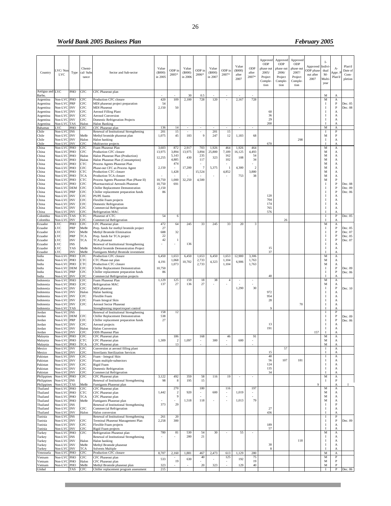#### *World Bank 2005 Business Plan* February 2005 **February 2005**

٠

<u> 1989 - Johann Barnett, mars et al. 1989 - Anna ann an t-</u>

an d

| Country                   | VC/Nor<br><b>LVC</b>       | Type              | Chemi-<br>cal/ Sub<br>tance | Sector and Sub-sector                                                          | Value<br>(S000)<br>in 2005 | ODP ir<br>2005* | Value<br>(5000)<br>in 2006 | ODP in<br>2006* | Value<br>(5000)<br>in 2007 | ODP in<br>2007* | Value<br>(5000)<br>after<br>2007 | ODP<br>after<br>2007* | Approved<br>ODP<br>phase out<br>2005/<br>Project<br>Comple-<br>tion | Approved<br>ODP<br>phase ou<br>2006/<br>Project<br>Comple-<br>tion | Approved<br>ODP<br>phase ou<br>2007/<br>Project<br>Comple-<br>tion | Approved<br><b>ODP</b> phase<br>out after<br>2007 | Ŀ<br>Indivi<br>dual<br>$M -$<br>Multi<br>year | $A-$<br>Appr. I<br>Plan'd  | Plan'd<br>Date of<br>Com-<br>pletion |
|---------------------------|----------------------------|-------------------|-----------------------------|--------------------------------------------------------------------------------|----------------------------|-----------------|----------------------------|-----------------|----------------------------|-----------------|----------------------------------|-----------------------|---------------------------------------------------------------------|--------------------------------------------------------------------|--------------------------------------------------------------------|---------------------------------------------------|-----------------------------------------------|----------------------------|--------------------------------------|
| Antigua and LVC<br>Barbu. |                            | PHO               | CFC                         | CFC Phaseout plan                                                              |                            |                 | 30                         | 0.5             |                            |                 |                                  |                       |                                                                     |                                                                    |                                                                    |                                                   | М                                             | A                          |                                      |
| Argentina<br>Argentina    | Non-LVC PHO<br>Non-LVC PRP |                   | CFC<br>CFC                  | Production CFC closure<br>MDI phaseout project preparation                     | 420<br>54                  | 109             | 2,100                      | 728             | 120                        |                 | 2,167                            | 728                   |                                                                     |                                                                    |                                                                    |                                                   | M<br>$\bf{I}$                                 | А<br>P                     | Dec. 05                              |
| Argentina                 | Non-LVC INV                |                   | CFC                         | <b>MDI Phaseout</b>                                                            | 2,150                      | 50              |                            |                 |                            |                 |                                  |                       |                                                                     |                                                                    |                                                                    |                                                   | <b>I</b>                                      | $_{\rm P}$                 | Dec. 08                              |
| Argentina                 | Non-LVC INV                |                   | CFC                         | <b>Aerosol Filling Plant</b>                                                   |                            |                 |                            |                 |                            |                 |                                  |                       | 60                                                                  |                                                                    |                                                                    |                                                   | -1                                            | А                          |                                      |
| Argentina<br>Argentina    | Non-LVC INV<br>Non-LVC INV |                   | CFC<br>CFC                  | <b>Aerosol Conversion</b><br>Domestic Refrigeration Projects                   |                            |                 |                            |                 |                            |                 |                                  |                       | 36<br>29                                                            |                                                                    |                                                                    |                                                   | -1<br><b>I</b>                                | A<br>A                     |                                      |
| Argentina                 | Non-LVC                    | <b>TAS</b>        | Halon                       | Halon Banking                                                                  |                            |                 |                            |                 |                            |                 |                                  |                       | 200                                                                 |                                                                    |                                                                    |                                                   |                                               | A                          |                                      |
| Bahamas<br>Chile          | LVC<br>Non-LVC             | PHO<br><b>INS</b> | CFC                         | CFC Phaseout plan<br>Renewal of Institutional Strengthening                    | 136<br>201                 | 14<br>15        | ٠                          |                 | 201                        | ٠<br>15         | $\overline{\phantom{a}}$         |                       |                                                                     |                                                                    |                                                                    |                                                   | M<br>Ι.                                       | A<br>P                     |                                      |
| Chile                     | Non-LVC INV                |                   | MeBr                        | Methyl bromide phaseout plan                                                   | 1,075                      | 45              | 183                        | 9               | 247                        | 12              | 1,183                            | 68                    |                                                                     |                                                                    |                                                                    |                                                   | М                                             | P                          |                                      |
| Chile<br>Chile            | Non-LVC INV<br>Non-LVC INV |                   | Halon<br>CFC                | Halon banking<br>Multisector projects                                          |                            |                 |                            |                 |                            |                 |                                  |                       | 670                                                                 |                                                                    | 298                                                                |                                                   | <b>I</b><br>$\mathbf{I}$                      | A<br>А                     |                                      |
| China                     | Non-LVC PHO                |                   | CFC                         | Foam Phaseout Plan                                                             | 3,603                      | 872             | 2,917                      | 703             | 1,926                      | 464             | 1,926                            | 464                   |                                                                     |                                                                    |                                                                    |                                                   | M                                             | $\mathbf A$                |                                      |
| China<br>China            | Non-LVC PHO<br>Non-LVC PHO |                   | CFC<br>Halon                | Production CFC closure<br>Halon Phaseout Plan (Production)                     | 13,975                     | 3,894<br>5,143  | 13,975                     | 3,894<br>235    | 25,800                     | 7,189<br>162    | 16,125                           | 4,493<br>54           |                                                                     |                                                                    |                                                                    |                                                   | М<br>М                                        | А<br>A                     |                                      |
| China                     | Non-LVC PHO                |                   | Halon                       | Halon Phaseout Plan (Consumption)                                              | 12,255                     | 4,885           | 430                        | 117             | 323                        | 102             | 108                              | 34                    |                                                                     |                                                                    |                                                                    |                                                   | М                                             | A                          |                                      |
| China<br>China            | Non-LVC PHO<br>Non-LVC PHO |                   | CTC.<br>CFC                 | Process Agents Phaseout Plan<br>Phase-out CFC as Process Agent                 | 2,150                      | 474             | 17,200                     | 7               | 5,375                      |                 | 4,300                            | $\overline{2}$        |                                                                     |                                                                    |                                                                    |                                                   | M<br>M                                        | A<br>А                     |                                      |
| China                     | Non-LVC PHO                |                   | CTC                         | Production CTC closure                                                         |                            | 1,428           |                            | 15,524          |                            | 4,852           |                                  | 3,880                 |                                                                     |                                                                    |                                                                    |                                                   | М                                             | А                          |                                      |
| China<br>China            | Non-LVC PHO<br>Non-LVC PHO |                   | TCA<br>CTC                  | Production TCA closure<br>Process Agents Phaseout Plan (Phase II)              | 10,750                     | 1,000           | 32,250                     | 4,500           |                            |                 | 753                              | 38                    |                                                                     |                                                                    |                                                                    |                                                   | М<br>М                                        | А<br>P                     |                                      |
| China                     | Non-LVC PHO                |                   | CFC                         | Pharmaceutical Aerosols Phaseout                                               | 10,750                     | 691             |                            |                 |                            |                 |                                  |                       |                                                                     |                                                                    |                                                                    |                                                   | <b>I</b>                                      | P                          | Dec. 08                              |
| China<br>China            | Non-LVC DEM<br>Non-LVC PRP |                   | <b>CFC</b><br>CFC           | Chiller Replacement Demonstration                                              | 2,150<br>86                |                 |                            |                 |                            |                 |                                  |                       |                                                                     |                                                                    |                                                                    |                                                   | $\mathbf{I}$<br>-1                            | P<br>$\, {\bf P}$          | Dec. 09                              |
| China                     | Non-LVC INV                |                   | CFC                         | Chiller replacement preparation funds<br>PS/PE foams                           |                            |                 |                            |                 |                            |                 |                                  |                       | 120                                                                 |                                                                    |                                                                    |                                                   | -1                                            | А                          | Dec. 06                              |
| China                     | Non-LVC INV                |                   | CFC                         | Flexible Foam projects                                                         |                            |                 |                            |                 |                            |                 |                                  |                       | 704                                                                 |                                                                    |                                                                    |                                                   | -1                                            | A                          |                                      |
| China<br>China            | Non-LVC INV<br>Non-LVC INV |                   | CFC<br>CFC                  | Domestic Refrigeration<br>Commercial Refrigeration                             |                            |                 |                            |                 |                            |                 |                                  |                       | 174<br>765                                                          |                                                                    |                                                                    |                                                   | $\mathbf I$<br>-1                             | A<br>A                     |                                      |
| China                     | Non-LVC                    | <b>INV</b>        | CFC                         | Refrigeration MAC                                                              |                            |                 |                            |                 |                            |                 |                                  |                       | 576                                                                 |                                                                    |                                                                    |                                                   | $\mathbf I$                                   | А                          |                                      |
| Colombia<br>Colombia      | Non-LVC TAS<br>Non-LVC INV |                   | CTC<br>CFC                  | Phaseout of CTC<br>Commercial Refrigeration                                    | 54                         | 6               |                            |                 |                            |                 |                                  |                       |                                                                     | 26                                                                 |                                                                    |                                                   | I                                             | $_{\rm P}$<br>A            | Dec. 05                              |
| Ecuador                   | LVC                        | PHO               | CFC                         | CFC Phaseout plan                                                              | 472                        | 64              | 245                        | 33              | 245                        | 33              | 20                               | 3                     |                                                                     |                                                                    |                                                                    |                                                   | М                                             | $\mathbf{A}$               |                                      |
| Ecuador                   | LVC<br>LVC                 | PRP               | MeBr                        | Prep. funds for methyl bromide project                                         | 27<br>688                  | 32              |                            |                 |                            |                 |                                  |                       |                                                                     |                                                                    |                                                                    |                                                   | <b>I</b><br><b>I</b>                          | $\, {\bf P}$<br>P          | Dec. 05<br>Dec. 07                   |
| Ecuador<br>Ecuador        | LVC                        | <b>INV</b><br>PRP | MeBr<br>TCA                 | Methyl Bromide Elimination<br>Prep. funds for TCA project                      | 22                         |                 |                            |                 |                            |                 |                                  |                       |                                                                     |                                                                    |                                                                    |                                                   | $\mathbf I$                                   | $\, {\bf P}$               | Dec. 05                              |
| Ecuador                   | LVC                        | <b>INV</b>        | TCA                         | TCA phaseout                                                                   | 42                         | -1              |                            |                 |                            |                 |                                  |                       |                                                                     |                                                                    |                                                                    |                                                   | -1                                            | P                          | Dec. 07                              |
| Ecuador<br>Ecuador        | LVC<br>LVC                 | <b>INS</b><br>TAS | MeBr                        | Renewal of Institutional Strengthening<br>Methyl bromide Demonstration Project |                            |                 | 136                        |                 |                            |                 |                                  |                       | 15                                                                  |                                                                    |                                                                    |                                                   | $\mathbf{I}$<br><b>I</b>                      | A<br>A                     |                                      |
| Ecuador                   | LVC                        | INV               | MeBr                        | Fumigants Methyl Bromide investment                                            |                            |                 |                            |                 |                            |                 |                                  |                       | 37                                                                  |                                                                    |                                                                    |                                                   |                                               | A                          |                                      |
| India<br>India            | Non-LVC PHO<br>Non-LVC PHO |                   | CFC<br>CTC                  | Production CFC closure<br>CTC Phase-out plan                                   | 6,450                      | 1,653<br>1,068  | 6,450                      | 1,653<br>2,733  | 6,450                      | 1,653<br>1,104  | 12,900                           | 3,306<br>1,763        |                                                                     |                                                                    |                                                                    |                                                   | M<br>М                                        | A<br>А                     |                                      |
| India                     | Non-LVC PHO                |                   | CTC                         | Production CTC closure                                                         | 4,191                      | 1,073           | 10,702                     | 2,733           | 4,323                      | 1,104           | 6,906                            | 1,763                 |                                                                     |                                                                    |                                                                    |                                                   | М                                             | A                          |                                      |
| India<br>India            | Non-LVC DEM<br>Non-LVC PRP |                   | CFC<br>CFC                  | Chiller Replacement Demonstration<br>Chiller replacement preparation funds     | 10,750<br>86               |                 |                            |                 |                            |                 |                                  |                       |                                                                     |                                                                    |                                                                    |                                                   | <b>I</b><br><b>I</b>                          | $\mathbf{P}$<br>$_{\rm P}$ | Dec. 09<br>Dec. 06                   |
| India                     | Non-LVC INV                |                   | CFC                         | Commercial Refrigeration projects                                              |                            |                 |                            |                 |                            |                 |                                  |                       | 40                                                                  |                                                                    |                                                                    |                                                   | $\mathbf{I}$                                  | A                          |                                      |
| Indonesia<br>Indonesia    | Non-LVC PHO<br>Non-LVC PHO |                   | CFC<br>CFC                  | Foam Phaseout Plan<br>Refrigeration MAC                                        | 1,129<br>137               | 125<br>27       | 159<br>136                 | 18<br>27        | 38                         | $\overline{4}$  |                                  |                       |                                                                     |                                                                    |                                                                    |                                                   | $_{\rm M}$<br>М                               | $\mathbf A$<br>A           |                                      |
| Indonesia                 | Non-LVC INV                |                   | CFC                         | MDI phaseout                                                                   |                            |                 |                            |                 |                            |                 | 1,290                            | 30                    |                                                                     |                                                                    |                                                                    |                                                   | $\mathbf{I}$                                  | $\, {\bf P}$               | Dec. 10                              |
| Indonesia                 | Non-LVC INV                |                   | Halon<br>CFC                | Halon banking                                                                  |                            |                 |                            |                 |                            |                 |                                  |                       | 972<br>954                                                          |                                                                    |                                                                    |                                                   | $\mathbf I$<br>$\mathbf{I}$                   | A<br>A                     |                                      |
| Indonesia<br>Indonesia    | Non-LVC INV<br>Non-LVC INV |                   | CFC                         | Flexible Foam<br>Foam Integral Skin                                            |                            |                 |                            |                 |                            |                 |                                  |                       | 28                                                                  |                                                                    |                                                                    |                                                   | -1                                            | А                          |                                      |
| Indonesia                 | Non-LVC INV                |                   | CFC                         | Aerosol Sector Phaseout                                                        |                            |                 |                            |                 |                            |                 |                                  |                       | $\mathbf Q$                                                         |                                                                    | 70                                                                 |                                                   | <b>I</b>                                      | А                          |                                      |
| Indonesia<br>Jordan       | Non-LVC TAS<br>Non-LVC INS |                   |                             | Strenghtening import/export control<br>Renewal of Institutional Strengthening  | 158                        | 12              |                            |                 |                            |                 |                                  |                       |                                                                     |                                                                    |                                                                    |                                                   | $\mathbf{I}$                                  | A<br>P                     |                                      |
| Jordan                    | Non-LVC DEM                |                   | CFC                         | Chiller Replacement Demonstration                                              | 538                        |                 |                            |                 |                            |                 |                                  |                       |                                                                     |                                                                    |                                                                    |                                                   | $\mathbf I$                                   | $\, {\bf P}$               | Dec. 09                              |
| Jordan<br>Jordan          | Non-LVC PRP<br>Non-LVC INV |                   | CFC<br>CFC                  | Chiller replacement preparation funds<br>Aerosol projects                      | 27                         |                 |                            |                 |                            |                 |                                  |                       | 13                                                                  |                                                                    |                                                                    |                                                   | $\mathbf I$<br>-1                             | $\, {\bf P}$<br>А          | Dec. 06                              |
| Jordan                    | Non-LVC INV                |                   | Halon                       | <b>Halon Conversion</b>                                                        |                            |                 |                            |                 |                            |                 |                                  |                       | 191                                                                 |                                                                    |                                                                    |                                                   | <b>I</b>                                      | A                          |                                      |
| Jordan<br>Malaysia        | Non-LVC<br>Non-LVC PHO     | <b>INV</b>        | CFC<br>CFC                  | <b>ODS</b> Phaseout Plan<br>CFC Phaseout plan                                  |                            | 186             |                            | 168             |                            | 46              |                                  | 91                    |                                                                     |                                                                    |                                                                    | 157                                               | М                                             | A<br>A                     |                                      |
| Malaysia                  | Non-LVC PHO                |                   | CTC                         | CFC Phaseout plan                                                              | 1,309                      |                 | 1,097                      |                 | 300                        |                 | 60C                              |                       |                                                                     |                                                                    |                                                                    |                                                   | M                                             | А                          |                                      |
| Malaysia<br>Mexico        | Non-LVC PHO<br>Non-LVC INV |                   | <b>TCA</b><br>CFC           | CFC Phaseout plan<br>Conversion at aerosol filling plant                       |                            | 13              |                            |                 |                            |                 |                                  |                       |                                                                     | 57                                                                 |                                                                    |                                                   | M<br>$\;$ I                                   | A<br>$\mathbf A$           |                                      |
| Mexico                    | Non-LVC INV                |                   | CFC                         | <b>Strerilants Sterilization Services</b>                                      |                            |                 |                            |                 |                            |                 |                                  |                       | 15                                                                  |                                                                    |                                                                    |                                                   |                                               | A                          |                                      |
| Pakistan                  | Non-LVC INV                |                   | CFC                         | Foam - Integral Skin                                                           |                            |                 |                            |                 |                            |                 |                                  |                       | $40\,$<br>56                                                        | 107                                                                | 181                                                                |                                                   | I                                             | A                          |                                      |
| Pakistan<br>Pakistan      | Non-LVC INV<br>Non-LVC INV |                   | CFC<br>CFC                  | Foam multiple-subsectors<br>Rigid Foam                                         |                            |                 |                            |                 |                            |                 |                                  |                       | 124                                                                 |                                                                    |                                                                    |                                                   | I<br>I                                        | A<br>A                     |                                      |
| Pakistan                  | Non-LVC INV                |                   | CFC                         | Domestic Refrigeration<br>Commercial Refrigeration                             |                            |                 |                            |                 |                            |                 |                                  |                       | 135<br>34                                                           |                                                                    |                                                                    |                                                   | <b>I</b>                                      | A                          |                                      |
| Pakistan<br>Philippines   | Non-LVC<br>Non-LVC PHO     | <b>INV</b>        | CFC<br>CFC                  | CFC Phaseout plan                                                              | 3,122                      | 492             | 359                        | 58              | 116                        | 19              |                                  |                       |                                                                     |                                                                    |                                                                    |                                                   | M                                             | А<br>A                     |                                      |
| Philippines               | Non-LVC INS                |                   |                             | Renewal of Institutional Strengthening                                         | 98                         | 8               | 195                        | 15              |                            |                 |                                  |                       |                                                                     |                                                                    |                                                                    |                                                   | <b>I</b>                                      | P                          |                                      |
| Philippines<br>Thailand   | Non-LVC TAS<br>Non-LVC PHO |                   | MeBr<br>CFC                 | Fumigants Phaseout plan<br>CFC Phaseout plan                                   |                            | 270             |                            | 180             |                            | 116             |                                  | 197                   |                                                                     |                                                                    |                                                                    | 9                                                 | М                                             | A<br>A                     | 1                                    |
| Thailand                  | Non-LVC PHO                |                   | CTC                         | CFC Phaseout plan                                                              | 1,442                      | $\overline{2}$  | 920                        |                 | 600                        |                 | 1,019                            |                       |                                                                     |                                                                    |                                                                    |                                                   | М                                             | A                          |                                      |
| Thailand<br>Thailand      | Non-LVC PHO<br>Non-LVC PHO |                   | TCA<br>MeBr                 | CFC Phaseout plan<br>Fumigants Phaseout plan                                   |                            | 9               | 1,518                      | 118             |                            |                 | 1,013                            | 79                    |                                                                     |                                                                    |                                                                    |                                                   | M<br>M                                        | A<br>A                     |                                      |
| Thailand                  | Non-LVC INS                |                   |                             | Renewal of Institutional Strengthening                                         | 373                        | 29              |                            |                 |                            |                 |                                  |                       |                                                                     |                                                                    |                                                                    |                                                   | <b>I</b>                                      | $\, {\bf P}$               |                                      |
| Thailand<br>Thailand      | Non-LVC INV<br>Non-LVC INV |                   | CFC<br>Halon                | Commercial Refrigeration<br>Halon conversion                                   |                            |                 |                            |                 |                            |                 |                                  |                       | 27<br>436                                                           |                                                                    |                                                                    |                                                   | I                                             | A<br>A                     |                                      |
| Tunisia                   | Non-LVC INS                |                   |                             | Renewal of Institutional Strengthening                                         | 261                        | $20\,$          |                            |                 |                            |                 |                                  |                       |                                                                     |                                                                    |                                                                    |                                                   | Ι.                                            | P                          |                                      |
| Tunisia                   | Non-LVC INV                |                   | CFC                         | Terminal Phaseout Management Plan                                              | 2,258                      | 300             |                            |                 |                            |                 |                                  |                       | 189                                                                 |                                                                    |                                                                    |                                                   | Ι.                                            | P                          | Dec. 09                              |
| Tunisia<br>Tunisia        | Non-LVC INV<br>Non-LVC INV |                   | CFC<br>CFC                  | Flexible Foam projects<br>Rigid Foam projects                                  |                            |                 |                            |                 |                            |                 |                                  |                       | 57                                                                  |                                                                    |                                                                    |                                                   | $\;$ I                                        | $_{\rm A}$<br>А            |                                      |
| Turkey                    | Non-LVC PHO                |                   | CFC                         | Refrigeration Phaseout plan                                                    | 780                        | 81              | 530<br>280                 | 54<br>21        | 30                         |                 | 55                               |                       |                                                                     |                                                                    |                                                                    |                                                   | M                                             | A                          |                                      |
| Turkey<br>Turkey          | Non-LVC INS<br>Non-LVC INV |                   | Halon                       | Renewal of Institutional Strengthening<br>Halon banking                        |                            |                 |                            |                 |                            |                 |                                  |                       |                                                                     |                                                                    | 118                                                                |                                                   | <b>I</b><br><b>I</b>                          | A<br>A                     |                                      |
| Turkey                    | Non-LVC INV                |                   | MeBr                        | Methyl Bromide phaseout                                                        |                            |                 |                            |                 |                            |                 |                                  |                       | 30                                                                  |                                                                    |                                                                    |                                                   | $\;$ I                                        | A                          |                                      |
| Turkey<br>Venezuela       | Non-LVC INV<br>Non-LVC PHO |                   | TCA<br>CFC                  | Solvents Multiple<br>Production CFC closure                                    | 8,707                      | 2,160           | 1,881                      | 467             | 2,473                      | 613             | 1,129                            | 280                   | 8                                                                   |                                                                    |                                                                    |                                                   | $\mathbf M$                                   | A<br>A                     |                                      |
| Vietnam                   | Non-LVC PHO                |                   | CFC                         | CFC Phaseout plan                                                              | 533                        |                 | 630                        | 40              |                            | 125             | 192                              | 75                    |                                                                     |                                                                    |                                                                    |                                                   | M                                             | P                          |                                      |
| Vietnam<br>Vietnam        | Non-LVC PHO<br>Non-LVC PHO |                   | Halon<br>MeBr               | CFC Phaseout plan<br>Methyl Bromide phaseout plan                              | 323                        | 19              |                            | 20              | 323                        |                 | 129                              | 19<br>40              |                                                                     |                                                                    |                                                                    |                                                   | М<br>М                                        | P<br>P                     |                                      |
| Global                    |                            | TAS               | <b>CFC</b>                  | Chiller replacement program assessment                                         | 215                        |                 |                            |                 |                            |                 |                                  |                       |                                                                     |                                                                    |                                                                    |                                                   | $\bf{I}$                                      | P                          | Dec. 06                              |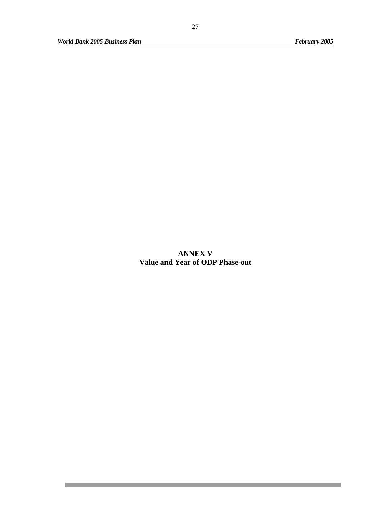П

and the state of the state of the state of the

**ANNEX V Value and Year of ODP Phase-out**